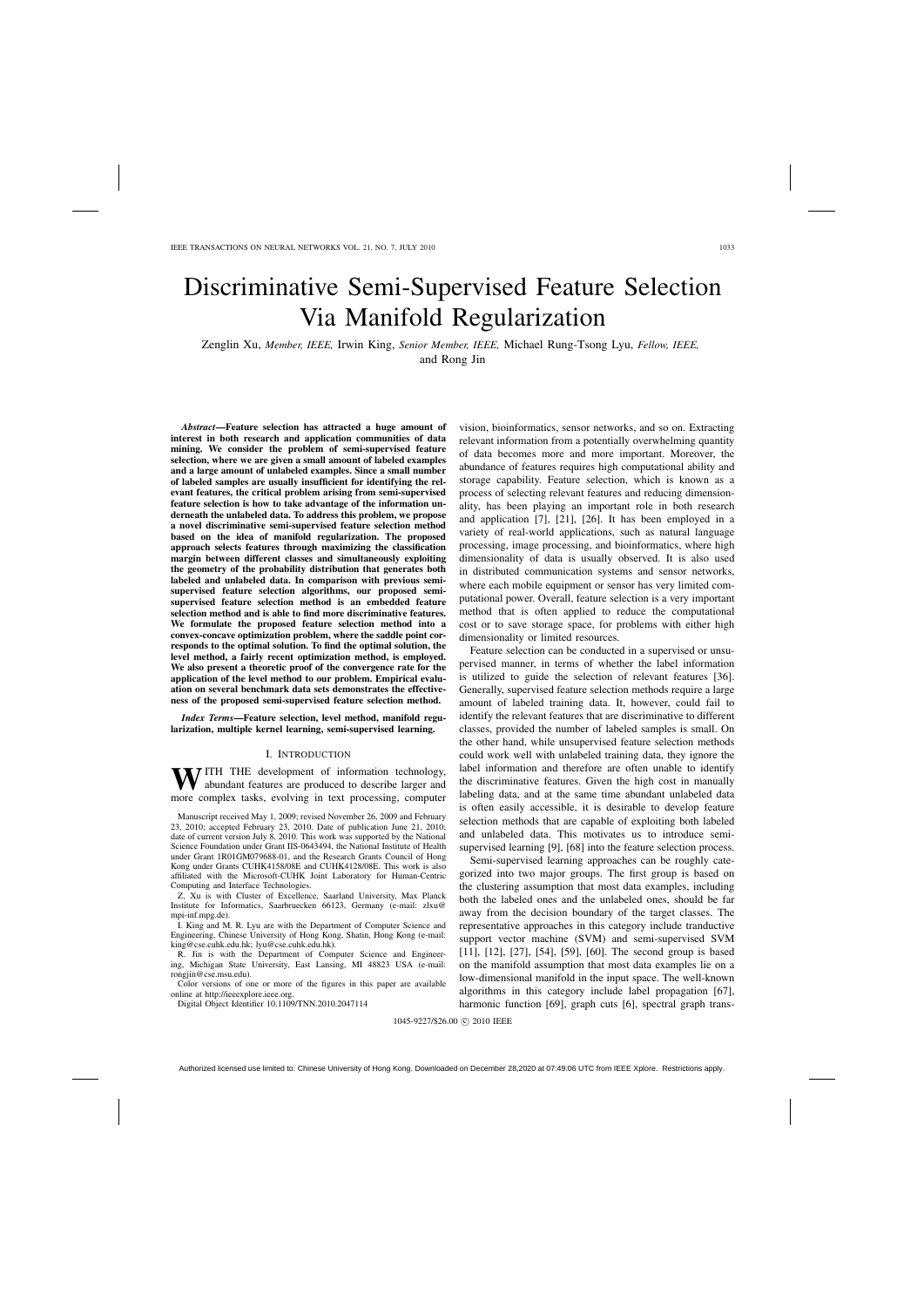# Discriminative Semi-Supervised Feature Selection Via Manifold Regularization

Zenglin Xu, *Member, IEEE,* Irwin King, *Senior Member, IEEE,* Michael Rung-Tsong Lyu, *Fellow, IEEE,* and Rong Jin

*Abstract***—Feature selection has attracted a huge amount of interest in both research and application communities of data mining. We consider the problem of semi-supervised feature selection, where we are given a small amount of labeled examples and a large amount of unlabeled examples. Since a small number of labeled samples are usually insufficient for identifying the relevant features, the critical problem arising from semi-supervised feature selection is how to take advantage of the information underneath the unlabeled data. To address this problem, we propose a novel discriminative semi-supervised feature selection method based on the idea of manifold regularization. The proposed approach selects features through maximizing the classification margin between different classes and simultaneously exploiting the geometry of the probability distribution that generates both labeled and unlabeled data. In comparison with previous semisupervised feature selection algorithms, our proposed semisupervised feature selection method is an embedded feature selection method and is able to find more discriminative features. We formulate the proposed feature selection method into a convex-concave optimization problem, where the saddle point corresponds to the optimal solution. To find the optimal solution, the level method, a fairly recent optimization method, is employed. We also present a theoretic proof of the convergence rate for the application of the level method to our problem. Empirical evaluation on several benchmark data sets demonstrates the effectiveness of the proposed semi-supervised feature selection method.**

*Index Terms***—Feature selection, level method, manifold regularization, multiple kernel learning, semi-supervised learning.**

### I. Introduction

**VITH THE development of information technology,** abundant features are produced to describe larger and more complex tasks, evolving in text processing, computer

Manuscript received May 1, 2009; revised November 26, 2009 and February 23, 2010; accepted February 23, 2010. Date of publication June 21, 2010; date of current version July 8, 2010. This work was supported by the National Science Foundation under Grant IIS-0643494, the National Institute of Health under Grant 1R01GM079688-01, and the Research Grants Council of Hong Kong under Grants CUHK4158/08E and CUHK4128/08E. This work is also affiliated with the Microsoft-CUHK Joint Laboratory for Human-Centric Computing and Interface Technologies.

Z. Xu is with Cluster of Excellence, Saarland University, Max Planck Institute for Informatics, Saarbruecken 66123, Germany (e-mail: zlxu@ mpi-inf.mpg.de).

I. King and M. R. Lyu are with the Department of Computer Science and Engineering, Chinese University of Hong Kong, Shatin, Hong Kong (e-mail: king@cse.cuhk.edu.hk; lyu@cse.cuhk.edu.hk).

R. Jin is with the Department of Computer Science and Engineering, Michigan State University, East Lansing, MI 48823 USA (e-mail: rongjin@cse.msu.edu).

Color versions of one or more of the figures in this paper are available online at http://ieeexplore.ieee.org.

Digital Object Identifier 10.1109/TNN.2010.2047114

vision, bioinformatics, sensor networks, and so on. Extracting relevant information from a potentially overwhelming quantity of data becomes more and more important. Moreover, the abundance of features requires high computational ability and storage capability. Feature selection, which is known as a process of selecting relevant features and reducing dimensionality, has been playing an important role in both research and application [7], [21], [26]. It has been employed in a variety of real-world applications, such as natural language processing, image processing, and bioinformatics, where high dimensionality of data is usually observed. It is also used in distributed communication systems and sensor networks, where each mobile equipment or sensor has very limited computational power. Overall, feature selection is a very important method that is often applied to reduce the computational cost or to save storage space, for problems with either high dimensionality or limited resources.

Feature selection can be conducted in a supervised or unsupervised manner, in terms of whether the label information is utilized to guide the selection of relevant features [36]. Generally, supervised feature selection methods require a large amount of labeled training data. It, however, could fail to identify the relevant features that are discriminative to different classes, provided the number of labeled samples is small. On the other hand, while unsupervised feature selection methods could work well with unlabeled training data, they ignore the label information and therefore are often unable to identify the discriminative features. Given the high cost in manually labeling data, and at the same time abundant unlabeled data is often easily accessible, it is desirable to develop feature selection methods that are capable of exploiting both labeled and unlabeled data. This motivates us to introduce semisupervised learning [9], [68] into the feature selection process.

Semi-supervised learning approaches can be roughly categorized into two major groups. The first group is based on the clustering assumption that most data examples, including both the labeled ones and the unlabeled ones, should be far away from the decision boundary of the target classes. The representative approaches in this category include tranductive support vector machine (SVM) and semi-supervised SVM [11], [12], [27], [54], [59], [60]. The second group is based on the manifold assumption that most data examples lie on a low-dimensional manifold in the input space. The well-known algorithms in this category include label propagation [67], harmonic function [69], graph cuts [6], spectral graph trans-

1045-9227/\$26.00 C 2010 IEEE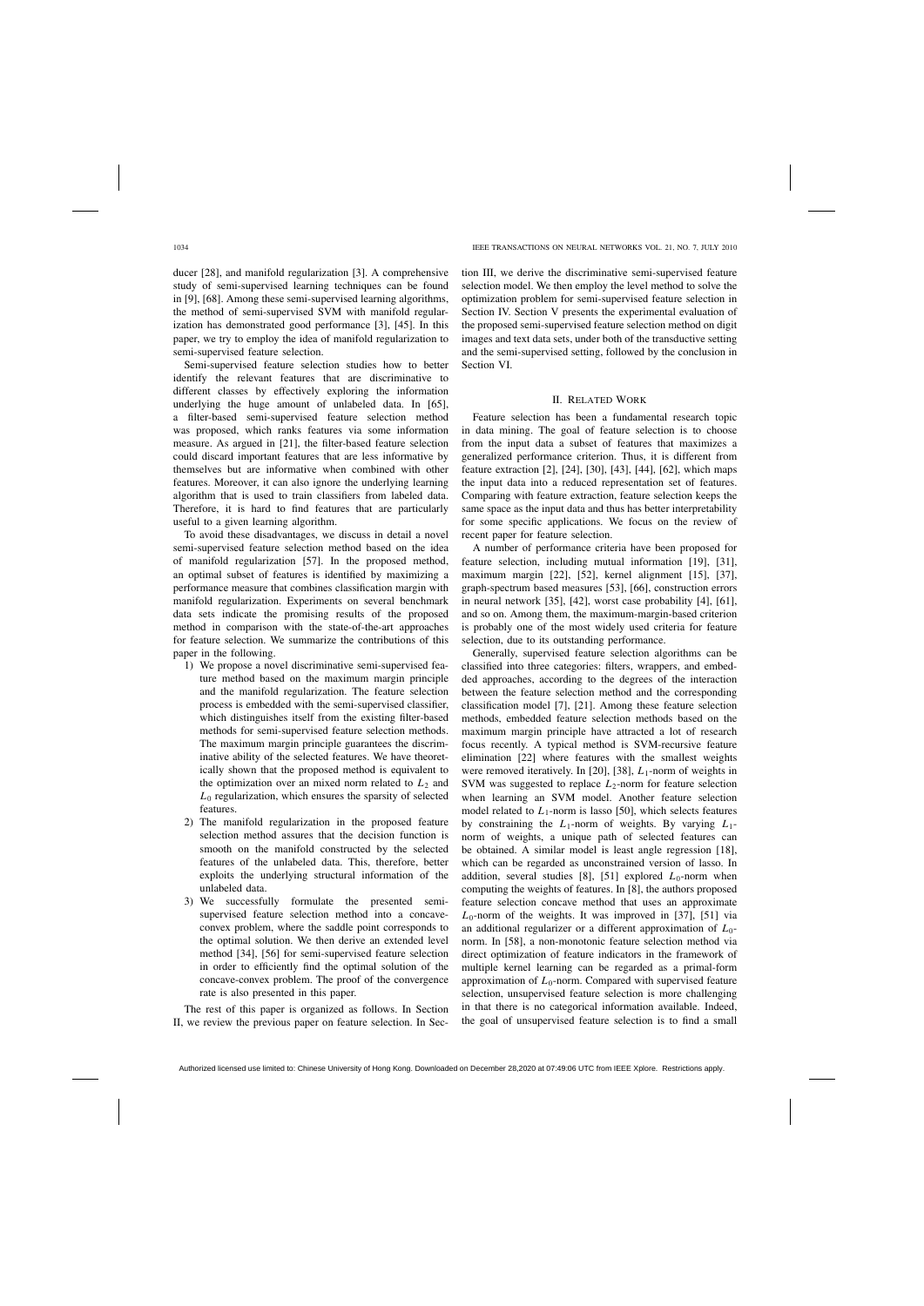ducer [28], and manifold regularization [3]. A comprehensive study of semi-supervised learning techniques can be found in [9], [68]. Among these semi-supervised learning algorithms, the method of semi-supervised SVM with manifold regularization has demonstrated good performance [3], [45]. In this paper, we try to employ the idea of manifold regularization to semi-supervised feature selection.

Semi-supervised feature selection studies how to better identify the relevant features that are discriminative to different classes by effectively exploring the information underlying the huge amount of unlabeled data. In [65], a filter-based semi-supervised feature selection method was proposed, which ranks features via some information measure. As argued in [21], the filter-based feature selection could discard important features that are less informative by themselves but are informative when combined with other features. Moreover, it can also ignore the underlying learning algorithm that is used to train classifiers from labeled data. Therefore, it is hard to find features that are particularly useful to a given learning algorithm.

To avoid these disadvantages, we discuss in detail a novel semi-supervised feature selection method based on the idea of manifold regularization [57]. In the proposed method, an optimal subset of features is identified by maximizing a performance measure that combines classification margin with manifold regularization. Experiments on several benchmark data sets indicate the promising results of the proposed method in comparison with the state-of-the-art approaches for feature selection. We summarize the contributions of this paper in the following.

- 1) We propose a novel discriminative semi-supervised feature method based on the maximum margin principle and the manifold regularization. The feature selection process is embedded with the semi-supervised classifier, which distinguishes itself from the existing filter-based methods for semi-supervised feature selection methods. The maximum margin principle guarantees the discriminative ability of the selected features. We have theoretically shown that the proposed method is equivalent to the optimization over an mixed norm related to  $L_2$  and *L*<sup>0</sup> regularization, which ensures the sparsity of selected features.
- 2) The manifold regularization in the proposed feature selection method assures that the decision function is smooth on the manifold constructed by the selected features of the unlabeled data. This, therefore, better exploits the underlying structural information of the unlabeled data.
- 3) We successfully formulate the presented semisupervised feature selection method into a concaveconvex problem, where the saddle point corresponds to the optimal solution. We then derive an extended level method [34], [56] for semi-supervised feature selection in order to efficiently find the optimal solution of the concave-convex problem. The proof of the convergence rate is also presented in this paper.

The rest of this paper is organized as follows. In Section II, we review the previous paper on feature selection. In Sec-

tion III, we derive the discriminative semi-supervised feature selection model. We then employ the level method to solve the optimization problem for semi-supervised feature selection in Section IV. Section V presents the experimental evaluation of the proposed semi-supervised feature selection method on digit images and text data sets, under both of the transductive setting and the semi-supervised setting, followed by the conclusion in Section VI.

## II. Related Work

Feature selection has been a fundamental research topic in data mining. The goal of feature selection is to choose from the input data a subset of features that maximizes a generalized performance criterion. Thus, it is different from feature extraction [2], [24], [30], [43], [44], [62], which maps the input data into a reduced representation set of features. Comparing with feature extraction, feature selection keeps the same space as the input data and thus has better interpretability for some specific applications. We focus on the review of recent paper for feature selection.

A number of performance criteria have been proposed for feature selection, including mutual information [19], [31], maximum margin [22], [52], kernel alignment [15], [37], graph-spectrum based measures [53], [66], construction errors in neural network [35], [42], worst case probability [4], [61], and so on. Among them, the maximum-margin-based criterion is probably one of the most widely used criteria for feature selection, due to its outstanding performance.

Generally, supervised feature selection algorithms can be classified into three categories: filters, wrappers, and embedded approaches, according to the degrees of the interaction between the feature selection method and the corresponding classification model [7], [21]. Among these feature selection methods, embedded feature selection methods based on the maximum margin principle have attracted a lot of research focus recently. A typical method is SVM-recursive feature elimination [22] where features with the smallest weights were removed iteratively. In [20], [38],  $L_1$ -norm of weights in SVM was suggested to replace  $L_2$ -norm for feature selection when learning an SVM model. Another feature selection model related to  $L_1$ -norm is lasso [50], which selects features by constraining the  $L_1$ -norm of weights. By varying  $L_1$ norm of weights, a unique path of selected features can be obtained. A similar model is least angle regression [18], which can be regarded as unconstrained version of lasso. In addition, several studies [8], [51] explored  $L_0$ -norm when computing the weights of features. In [8], the authors proposed feature selection concave method that uses an approximate  $L_0$ -norm of the weights. It was improved in [37], [51] via an additional regularizer or a different approximation of *L*0 norm. In [58], a non-monotonic feature selection method via direct optimization of feature indicators in the framework of multiple kernel learning can be regarded as a primal-form approximation of  $L_0$ -norm. Compared with supervised feature selection, unsupervised feature selection is more challenging in that there is no categorical information available. Indeed, the goal of unsupervised feature selection is to find a small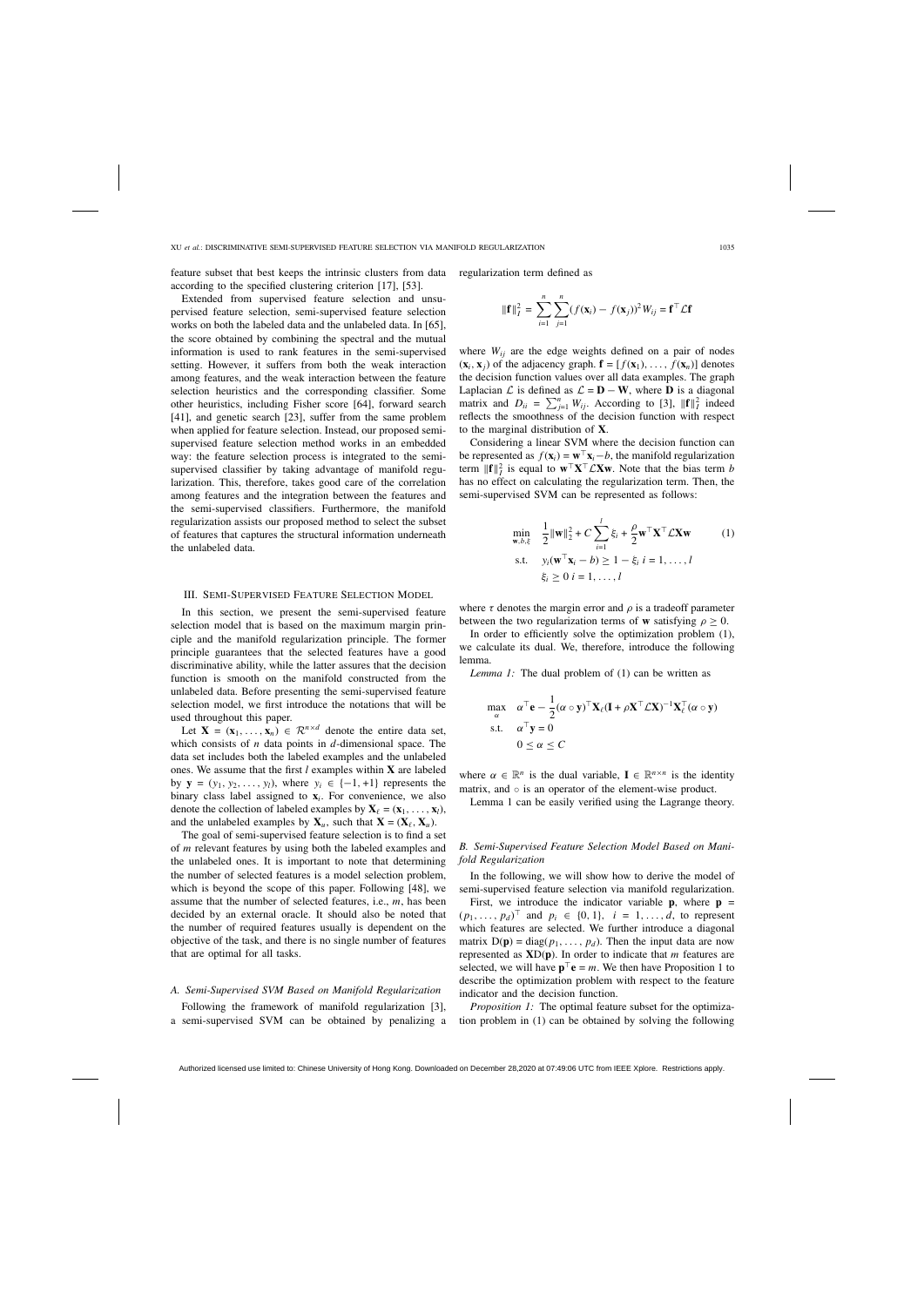feature subset that best keeps the intrinsic clusters from data according to the specified clustering criterion [17], [53].

Extended from supervised feature selection and unsupervised feature selection, semi-supervised feature selection works on both the labeled data and the unlabeled data. In [65], the score obtained by combining the spectral and the mutual information is used to rank features in the semi-supervised setting. However, it suffers from both the weak interaction among features, and the weak interaction between the feature selection heuristics and the corresponding classifier. Some other heuristics, including Fisher score [64], forward search [41], and genetic search [23], suffer from the same problem when applied for feature selection. Instead, our proposed semisupervised feature selection method works in an embedded way: the feature selection process is integrated to the semisupervised classifier by taking advantage of manifold regularization. This, therefore, takes good care of the correlation among features and the integration between the features and the semi-supervised classifiers. Furthermore, the manifold regularization assists our proposed method to select the subset of features that captures the structural information underneath the unlabeled data.

## III. Semi-Supervised Feature Selection Model

In this section, we present the semi-supervised feature selection model that is based on the maximum margin principle and the manifold regularization principle. The former principle guarantees that the selected features have a good discriminative ability, while the latter assures that the decision function is smooth on the manifold constructed from the unlabeled data. Before presenting the semi-supervised feature selection model, we first introduce the notations that will be used throughout this paper.

Let  $X = (x_1, \ldots, x_n) \in \mathbb{R}^{n \times d}$  denote the entire data set, which consists of *n* data points in *d*-dimensional space. The data set includes both the labeled examples and the unlabeled ones. We assume that the first *l* examples within **X** are labeled by **y** = ( $y_1, y_2, ..., y_l$ ), where  $y_i$  ∈ {−1, +1} represents the binary class label assigned to  $x_i$ . For convenience, we also denote the collection of labeled examples by  $X_{\ell} = (x_1, \ldots, x_{\ell}),$ and the unlabeled examples by  $X_u$ , such that  $X = (X_\ell, X_u)$ .

The goal of semi-supervised feature selection is to find a set of *m* relevant features by using both the labeled examples and the unlabeled ones. It is important to note that determining the number of selected features is a model selection problem, which is beyond the scope of this paper. Following [48], we assume that the number of selected features, i.e., *m*, has been decided by an external oracle. It should also be noted that the number of required features usually is dependent on the objective of the task, and there is no single number of features that are optimal for all tasks.

## *A. Semi-Supervised SVM Based on Manifold Regularization*

Following the framework of manifold regularization [3], a semi-supervised SVM can be obtained by penalizing a regularization term defined as

$$
\|\mathbf{f}\|_{I}^{2} = \sum_{i=1}^{n} \sum_{j=1}^{n} (f(\mathbf{x}_{i}) - f(\mathbf{x}_{j}))^{2} W_{ij} = \mathbf{f}^{\top} \mathcal{L} \mathbf{f}
$$

where  $W_{ij}$  are the edge weights defined on a pair of nodes  $(\mathbf{x}_i, \mathbf{x}_j)$  of the adjacency graph.  $\mathbf{f} = [f(\mathbf{x}_1), \dots, f(\mathbf{x}_n)]$  denotes the decision function values over all data examples. The graph Laplacian  $\mathcal{L}$  is defined as  $\mathcal{L} = \mathbf{D} - \mathbf{W}$ , where  $\mathbf{D}$  is a diagonal matrix and  $D_{ii} = \sum_{j=1}^{n} W_{ij}$ . According to [3],  $\|\mathbf{f}\|_{I}^{2}$  indeed reflects the smoothness of the decision function with respect to the marginal distribution of **X**.

Considering a linear SVM where the decision function can be represented as  $f(\mathbf{x}_i) = \mathbf{w}^\top \mathbf{x}_i - b$ , the manifold regularization term  $\|\mathbf{f}\|_{I}^{2}$  is equal to  $\mathbf{w}^{\top}\mathbf{X}^{\top}\mathcal{L}\mathbf{X}\mathbf{w}$ . Note that the bias term *b* has no effect on calculating the regularization term. Then, the semi-supervised SVM can be represented as follows:

$$
\min_{\mathbf{w}, b, \xi} \quad \frac{1}{2} \|\mathbf{w}\|_{2}^{2} + C \sum_{i=1}^{l} \xi_{i} + \frac{\rho}{2} \mathbf{w}^{\top} \mathbf{X}^{\top} \mathcal{L} \mathbf{X} \mathbf{w} \tag{1}
$$
\ns.t. 
$$
y_{i}(\mathbf{w}^{\top} \mathbf{x}_{i} - b) \ge 1 - \xi_{i} \quad i = 1, ..., l
$$
\n
$$
\xi_{i} \ge 0 \quad i = 1, ..., l
$$

where  $\tau$  denotes the margin error and  $\rho$  is a tradeoff parameter between the two regularization terms of **w** satisfying  $\rho > 0$ .

In order to efficiently solve the optimization problem (1), we calculate its dual. We, therefore, introduce the following lemma.

*Lemma 1:* The dual problem of (1) can be written as

$$
\max_{\alpha} \quad \alpha^{\top} \mathbf{e} - \frac{1}{2} (\alpha \circ \mathbf{y})^{\top} \mathbf{X}_{\ell} (\mathbf{I} + \rho \mathbf{X}^{\top} \mathcal{L} \mathbf{X})^{-1} \mathbf{X}_{\ell}^{\top} (\alpha \circ \mathbf{y})
$$
  
s.t. 
$$
\alpha^{\top} \mathbf{y} = 0
$$

$$
0 \le \alpha \le C
$$

where  $\alpha \in \mathbb{R}^n$  is the dual variable,  $I \in \mathbb{R}^{n \times n}$  is the identity matrix, and  $\circ$  is an operator of the element-wise product.

Lemma 1 can be easily verified using the Lagrange theory.

# *B. Semi-Supervised Feature Selection Model Based on Manifold Regularization*

In the following, we will show how to derive the model of semi-supervised feature selection via manifold regularization.

First, we introduce the indicator variable  $\bf{p}$ , where  $\bf{p}$  =  $(p_1, \ldots, p_d)$ <sup>T</sup> and  $p_i \in \{0, 1\}$ ,  $i = 1, \ldots, d$ , to represent which features are selected. We further introduce a diagonal matrix  $D(\mathbf{p}) = diag(p_1, \ldots, p_d)$ . Then the input data are now represented as **X**D(**p**). In order to indicate that *m* features are selected, we will have  $\mathbf{p}^{\top} \mathbf{e} = m$ . We then have Proposition 1 to describe the optimization problem with respect to the feature indicator and the decision function.

*Proposition 1:* The optimal feature subset for the optimization problem in (1) can be obtained by solving the following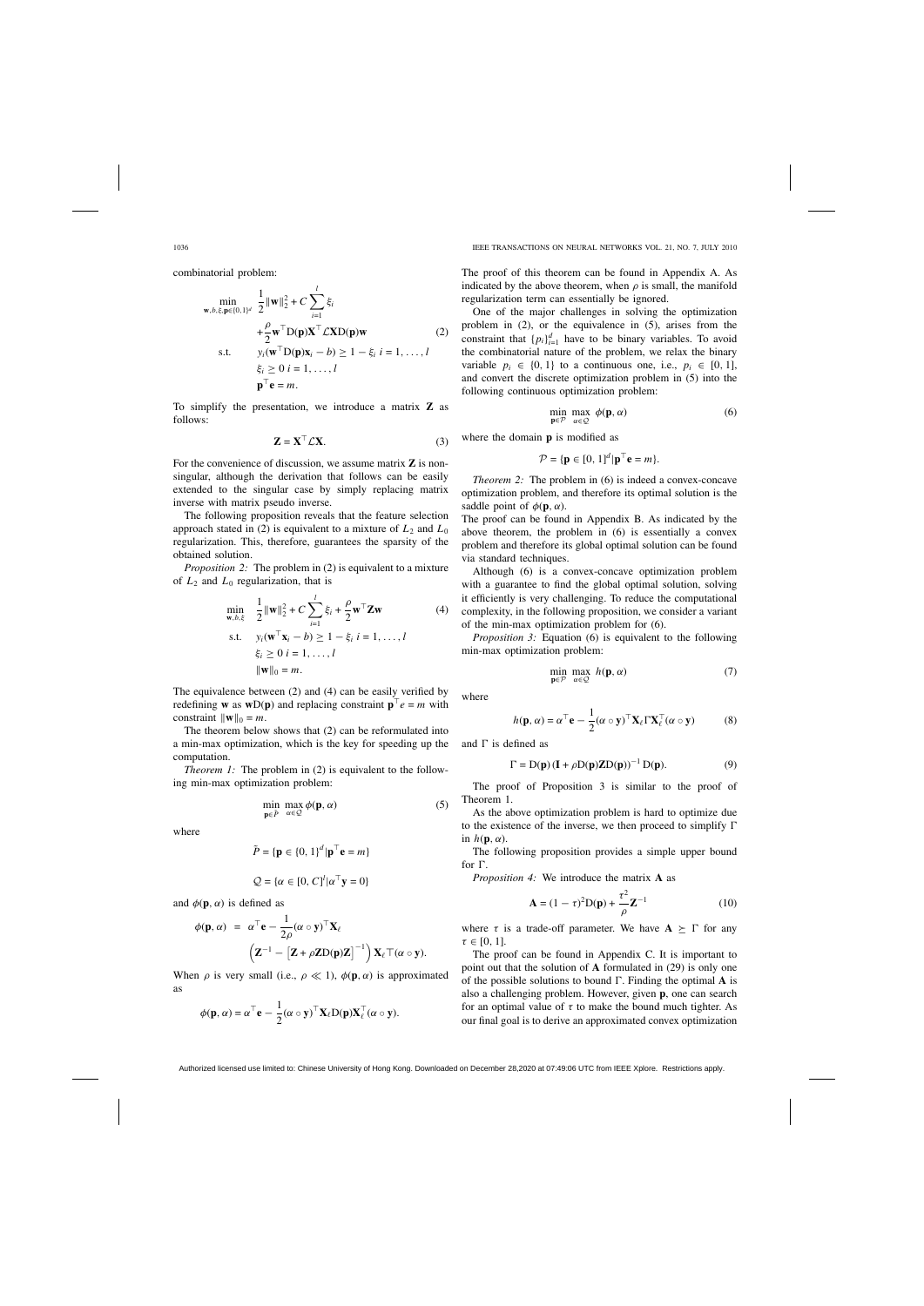combinatorial problem:

$$
\min_{\mathbf{w}, b, \xi, \mathbf{p} \in \{0, 1\}^d} \frac{1}{2} \|\mathbf{w}\|_2^2 + C \sum_{i=1}^l \xi_i
$$
\n
$$
+ \frac{\rho}{2} \mathbf{w}^\top \mathbf{D}(\mathbf{p}) \mathbf{X}^\top \mathcal{L} \mathbf{X} \mathbf{D}(\mathbf{p}) \mathbf{w} \qquad (2)
$$
\n
$$
\text{s.t.} \qquad y_i(\mathbf{w}^\top \mathbf{D}(\mathbf{p}) \mathbf{x}_i - b) \ge 1 - \xi_i \quad i = 1, \dots, l
$$
\n
$$
\xi_i \ge 0 \quad i = 1, \dots, l
$$
\n
$$
\mathbf{p}^\top \mathbf{e} = m.
$$

To simplify the presentation, we introduce a matrix **Z** as follows:

$$
\mathbf{Z} = \mathbf{X}^{\top} \mathcal{L} \mathbf{X}.
$$
 (3)

For the convenience of discussion, we assume matrix **Z** is nonsingular, although the derivation that follows can be easily extended to the singular case by simply replacing matrix inverse with matrix pseudo inverse.

The following proposition reveals that the feature selection approach stated in (2) is equivalent to a mixture of  $L_2$  and  $L_0$ regularization. This, therefore, guarantees the sparsity of the obtained solution.

*Proposition 2:* The problem in (2) is equivalent to a mixture of  $L_2$  and  $L_0$  regularization, that is

$$
\min_{\mathbf{w}, b, \xi} \quad \frac{1}{2} \|\mathbf{w}\|_{2}^{2} + C \sum_{i=1}^{l} \xi_{i} + \frac{\rho}{2} \mathbf{w}^{\top} \mathbf{Z} \mathbf{w}
$$
\n
$$
\text{s.t.} \quad y_{i}(\mathbf{w}^{\top} \mathbf{x}_{i} - b) \ge 1 - \xi_{i} \quad i = 1, \dots, l
$$
\n
$$
\xi_{i} \ge 0 \quad i = 1, \dots, l
$$
\n
$$
\|\mathbf{w}\|_{0} = m.
$$
\n(4)

The equivalence between (2) and (4) can be easily verified by redefining **w** as **w**D(**p**) and replacing constraint  $\mathbf{p}^{\top}e = m$  with constraint  $\|\mathbf{w}\|_0 = m$ .

The theorem below shows that (2) can be reformulated into a min-max optimization, which is the key for speeding up the computation.

*Theorem 1:* The problem in (2) is equivalent to the following min-max optimization problem:

$$
\min_{\mathbf{p}\in\tilde{P}}\max_{\alpha\in\mathcal{Q}}\phi(\mathbf{p},\alpha) \tag{5}
$$

where

$$
\tilde{P} = \{ \mathbf{p} \in \{0, 1\}^d | \mathbf{p}^\top \mathbf{e} = m \}
$$

$$
\mathcal{Q} = \{ \alpha \in [0, C]^l | \alpha^\top \mathbf{y} = 0 \}
$$

and  $\phi(\mathbf{p}, \alpha)$  is defined as

$$
\phi(\mathbf{p}, \alpha) = \alpha^{\top} \mathbf{e} - \frac{1}{2\rho} (\alpha \circ \mathbf{y})^{\top} \mathbf{X}_{\ell}
$$

$$
\left( \mathbf{Z}^{-1} - \left[ \mathbf{Z} + \rho \mathbf{Z} \mathbf{D}(\mathbf{p}) \mathbf{Z} \right]^{-1} \right) \mathbf{X}_{\ell} \top (\alpha \circ \mathbf{y}).
$$

When  $\rho$  is very small (i.e.,  $\rho \ll 1$ ),  $\phi(\mathbf{p}, \alpha)$  is approximated as

$$
\phi(\mathbf{p}, \alpha) = \alpha^{\top} \mathbf{e} - \frac{1}{2} (\alpha \circ \mathbf{y})^{\top} \mathbf{X}_{\ell} \mathbf{D}(\mathbf{p}) \mathbf{X}_{\ell}^{\top} (\alpha \circ \mathbf{y}).
$$

The proof of this theorem can be found in Appendix A. As indicated by the above theorem, when  $\rho$  is small, the manifold regularization term can essentially be ignored.

One of the major challenges in solving the optimization problem in (2), or the equivalence in (5), arises from the constraint that  $\{p_i\}_{i=1}^d$  have to be binary variables. To avoid the combinatorial nature of the problem, we relax the binary variable  $p_i \in \{0, 1\}$  to a continuous one, i.e.,  $p_i \in [0, 1]$ , and convert the discrete optimization problem in (5) into the following continuous optimization problem:

$$
\min_{\mathbf{p}\in\mathcal{P}}\max_{\alpha\in\mathcal{Q}}\ \phi(\mathbf{p},\alpha)\tag{6}
$$

where the domain **p** is modified as

$$
\mathcal{P} = \{ \mathbf{p} \in [0, 1]^d | \mathbf{p}^\top \mathbf{e} = m \}.
$$

*Theorem 2:* The problem in (6) is indeed a convex-concave optimization problem, and therefore its optimal solution is the saddle point of  $\phi(\mathbf{p}, \alpha)$ .

The proof can be found in Appendix B. As indicated by the above theorem, the problem in (6) is essentially a convex problem and therefore its global optimal solution can be found via standard techniques.

Although (6) is a convex-concave optimization problem with a guarantee to find the global optimal solution, solving it efficiently is very challenging. To reduce the computational complexity, in the following proposition, we consider a variant of the min-max optimization problem for (6).

*Proposition 3:* Equation (6) is equivalent to the following min-max optimization problem:

$$
\min_{\mathbf{p}\in\mathcal{P}}\max_{\alpha\in\mathcal{Q}}h(\mathbf{p},\alpha) \tag{7}
$$

where

$$
h(\mathbf{p}, \alpha) = \alpha^{\top} \mathbf{e} - \frac{1}{2} (\alpha \circ \mathbf{y})^{\top} \mathbf{X}_{\ell} \Gamma \mathbf{X}_{\ell}^{\top} (\alpha \circ \mathbf{y})
$$
(8)

and  $\Gamma$  is defined as

$$
\Gamma = D(\mathbf{p}) \left( \mathbf{I} + \rho D(\mathbf{p}) \mathbf{Z} D(\mathbf{p}) \right)^{-1} D(\mathbf{p}).
$$
 (9)

The proof of Proposition 3 is similar to the proof of Theorem 1.

As the above optimization problem is hard to optimize due to the existence of the inverse, we then proceed to simplify  $\Gamma$ in  $h(\mathbf{p}, \alpha)$ .

The following proposition provides a simple upper bound for  $\Gamma$ .

*Proposition 4:* We introduce the matrix **A** as

$$
\mathbf{A} = (1 - \tau)^2 \mathbf{D}(\mathbf{p}) + \frac{\tau^2}{\rho} \mathbf{Z}^{-1}
$$
 (10)

where  $\tau$  is a trade-off parameter. We have  $A \geq \Gamma$  for any *τ* ∈ [0*,* 1].

The proof can be found in Appendix C. It is important to point out that the solution of **A** formulated in (29) is only one of the possible solutions to bound  $\Gamma$ . Finding the optimal  $\bf{A}$  is also a challenging problem. However, given **p**, one can search for an optimal value of  $\tau$  to make the bound much tighter. As our final goal is to derive an approximated convex optimization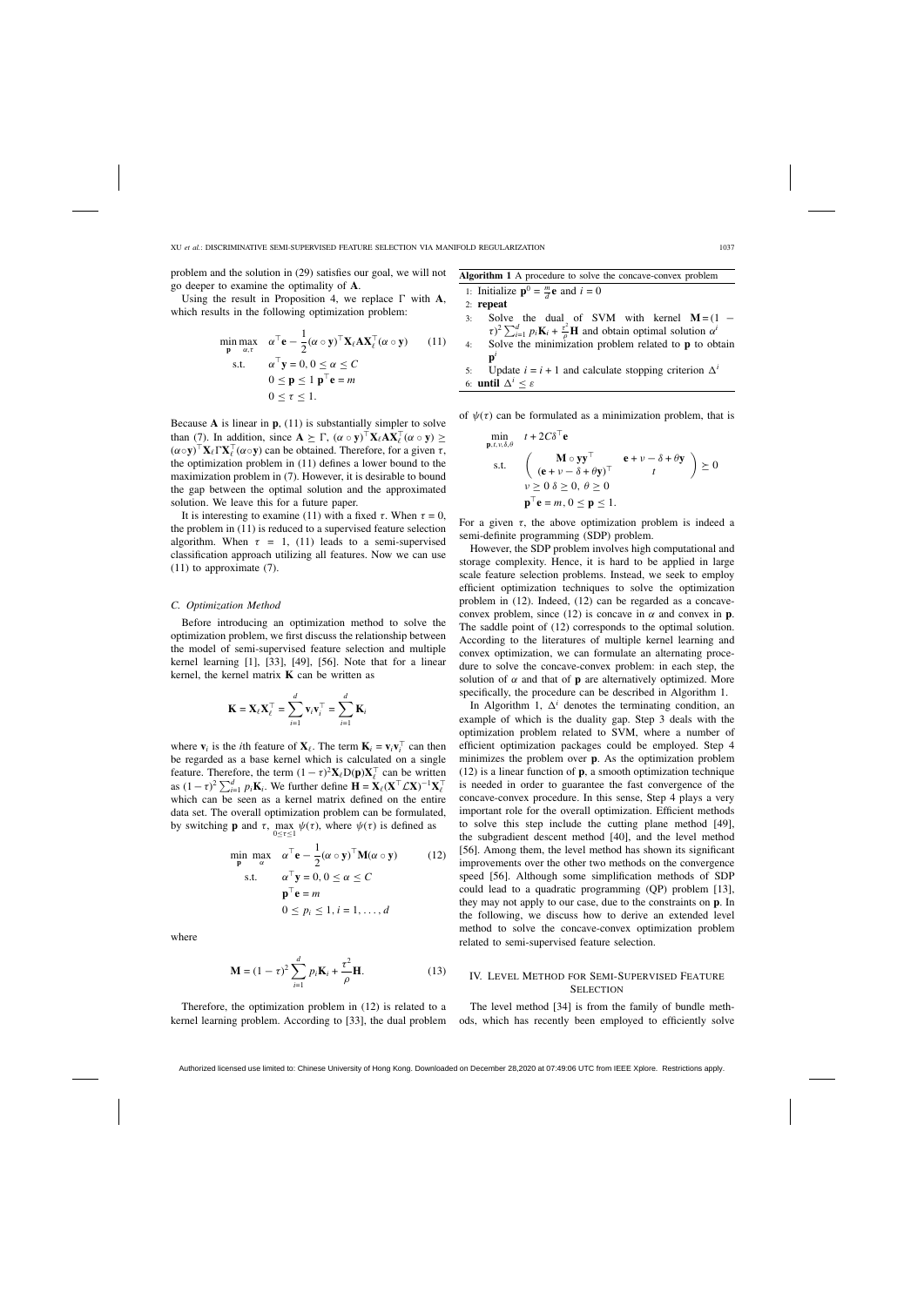problem and the solution in (29) satisfies our goal, we will not go deeper to examine the optimality of **A**.

Using the result in Proposition 4, we replace  $\Gamma$  with A, which results in the following optimization problem:

$$
\min_{\mathbf{p}} \max_{\alpha, \tau} \quad \alpha^{\top} \mathbf{e} - \frac{1}{2} (\alpha \circ \mathbf{y})^{\top} \mathbf{X}_{\ell} \mathbf{A} \mathbf{X}_{\ell}^{\top} (\alpha \circ \mathbf{y}) \qquad (11)
$$
\n
$$
\text{s.t.} \quad \alpha^{\top} \mathbf{y} = 0, 0 \le \alpha \le C
$$
\n
$$
0 \le \mathbf{p} \le 1 \quad \mathbf{p}^{\top} \mathbf{e} = m
$$
\n
$$
0 \le \tau \le 1.
$$

Because **A** is linear in **p**, (11) is substantially simpler to solve than (7). In addition, since  $\mathbf{A} \succeq \Gamma$ ,  $(\alpha \circ \mathbf{y})^{\top} \mathbf{X}_{\ell} \mathbf{A} \mathbf{X}_{\ell}^{\top} (\alpha \circ \mathbf{y}) \geq$  $(\alpha \circ \mathbf{y})^{\top} \mathbf{X}_{\ell} \Gamma \mathbf{X}_{\ell}^{\top} (\alpha \circ \mathbf{y})$  can be obtained. Therefore, for a given  $\tau$ , the optimization problem in (11) defines a lower bound to the maximization problem in (7). However, it is desirable to bound the gap between the optimal solution and the approximated solution. We leave this for a future paper.

It is interesting to examine (11) with a fixed *τ*. When *τ* = 0, the problem in (11) is reduced to a supervised feature selection algorithm. When  $\tau = 1$ , (11) leads to a semi-supervised classification approach utilizing all features. Now we can use (11) to approximate (7).

## *C. Optimization Method*

Before introducing an optimization method to solve the optimization problem, we first discuss the relationship between the model of semi-supervised feature selection and multiple kernel learning [1], [33], [49], [56]. Note that for a linear kernel, the kernel matrix **K** can be written as

$$
\mathbf{K} = \mathbf{X}_{\ell} \mathbf{X}_{\ell}^{\top} = \sum_{i=1}^{d} \mathbf{v}_{i} \mathbf{v}_{i}^{\top} = \sum_{i=1}^{d} \mathbf{K}_{i}
$$

where  $\mathbf{v}_i$  is the *i*th feature of  $\mathbf{X}_{\ell}$ . The term  $\mathbf{K}_i = \mathbf{v}_i \mathbf{v}_i^{\top}$  can then be regarded as a base kernel which is calculated on a single feature. Therefore, the term  $(1 - \tau)^2 \mathbf{X}_{\ell} \mathbf{D}(\mathbf{p}) \mathbf{X}_{\ell}^{\top}$  can be written as  $(1 - \tau)^2 \sum_{i=1}^d p_i \mathbf{K}_i$ . We further define  $\mathbf{H} = \mathbf{X}_\ell (\mathbf{X}^\top \mathcal{L} \mathbf{X})^{-1} \mathbf{X}_\ell^\top$ which can be seen as a kernel matrix defined on the entire data set. The overall optimization problem can be formulated, by switching **p** and *τ*,  $\max_{0 \le \tau \le 1} \psi(\tau)$ , where  $\psi(\tau)$  is defined as

$$
\min_{\mathbf{p}} \max_{\alpha} \quad \alpha^{\top} \mathbf{e} - \frac{1}{2} (\alpha \circ \mathbf{y})^{\top} \mathbf{M} (\alpha \circ \mathbf{y}) \qquad (12)
$$
\n
$$
\text{s.t.} \quad \alpha^{\top} \mathbf{y} = 0, \ 0 \le \alpha \le C
$$
\n
$$
\mathbf{p}^{\top} \mathbf{e} = m
$$
\n
$$
0 \le p_i \le 1, \ i = 1, \dots, d
$$

where

$$
\mathbf{M} = (1 - \tau)^2 \sum_{i=1}^{d} p_i \mathbf{K}_i + \frac{\tau^2}{\rho} \mathbf{H}.
$$
 (13)

Therefore, the optimization problem in (12) is related to a kernel learning problem. According to [33], the dual problem **Algorithm 1** A procedure to solve the concave-convex problem

- 1: Initialize  $\mathbf{p}^0 = \frac{m}{d}\mathbf{e}$  and  $i = 0$
- 2: **repeat**
- 3: Solve the dual of SVM with kernel  $M = (1 \tau$ <sup>2</sup>  $\sum_{i=1}^{d} p_i$ **K**<sub>*i*</sub> +  $\frac{\tau^2}{\rho}$ **H** and obtain optimal solution  $\alpha^i$
- 4: Solve the minimization problem related to **p** to obtain **p***i*
- 5: Update  $i = i + 1$  and calculate stopping criterion  $\Delta^i$ 6: **until**  $\Delta^i \leq \varepsilon$

of  $\psi(\tau)$  can be formulated as a minimization problem, that is

$$
\min_{\mathbf{p},t,\nu,\delta,\theta} \quad t + 2C\delta^{\top}\mathbf{e}
$$
\ns.t. 
$$
\begin{pmatrix}\n\mathbf{M} \circ \mathbf{y}\mathbf{y}^{\top} & \mathbf{e} + \nu - \delta + \theta \mathbf{y} \\
(\mathbf{e} + \nu - \delta + \theta \mathbf{y})^{\top} & t\n\end{pmatrix} \succeq 0
$$
\n
$$
\nu \ge 0 \delta \ge 0, \quad \theta \ge 0
$$
\n
$$
\mathbf{p}^{\top}\mathbf{e} = m, 0 \le \mathbf{p} \le 1.
$$

For a given  $\tau$ , the above optimization problem is indeed a semi-definite programming (SDP) problem.

However, the SDP problem involves high computational and storage complexity. Hence, it is hard to be applied in large scale feature selection problems. Instead, we seek to employ efficient optimization techniques to solve the optimization problem in (12). Indeed, (12) can be regarded as a concaveconvex problem, since (12) is concave in  $\alpha$  and convex in **p**. The saddle point of (12) corresponds to the optimal solution. According to the literatures of multiple kernel learning and convex optimization, we can formulate an alternating procedure to solve the concave-convex problem: in each step, the solution of  $\alpha$  and that of **p** are alternatively optimized. More specifically, the procedure can be described in Algorithm 1.

In Algorithm 1,  $\Delta^i$  denotes the terminating condition, an example of which is the duality gap. Step 3 deals with the optimization problem related to SVM, where a number of efficient optimization packages could be employed. Step 4 minimizes the problem over **p**. As the optimization problem (12) is a linear function of **p**, a smooth optimization technique is needed in order to guarantee the fast convergence of the concave-convex procedure. In this sense, Step 4 plays a very important role for the overall optimization. Efficient methods to solve this step include the cutting plane method [49], the subgradient descent method [40], and the level method [56]. Among them, the level method has shown its significant improvements over the other two methods on the convergence speed [56]. Although some simplification methods of SDP could lead to a quadratic programming (QP) problem [13], they may not apply to our case, due to the constraints on **p**. In the following, we discuss how to derive an extended level method to solve the concave-convex optimization problem related to semi-supervised feature selection.

# IV. Level Method for Semi-Supervised Feature **SELECTION**

The level method [34] is from the family of bundle methods, which has recently been employed to efficiently solve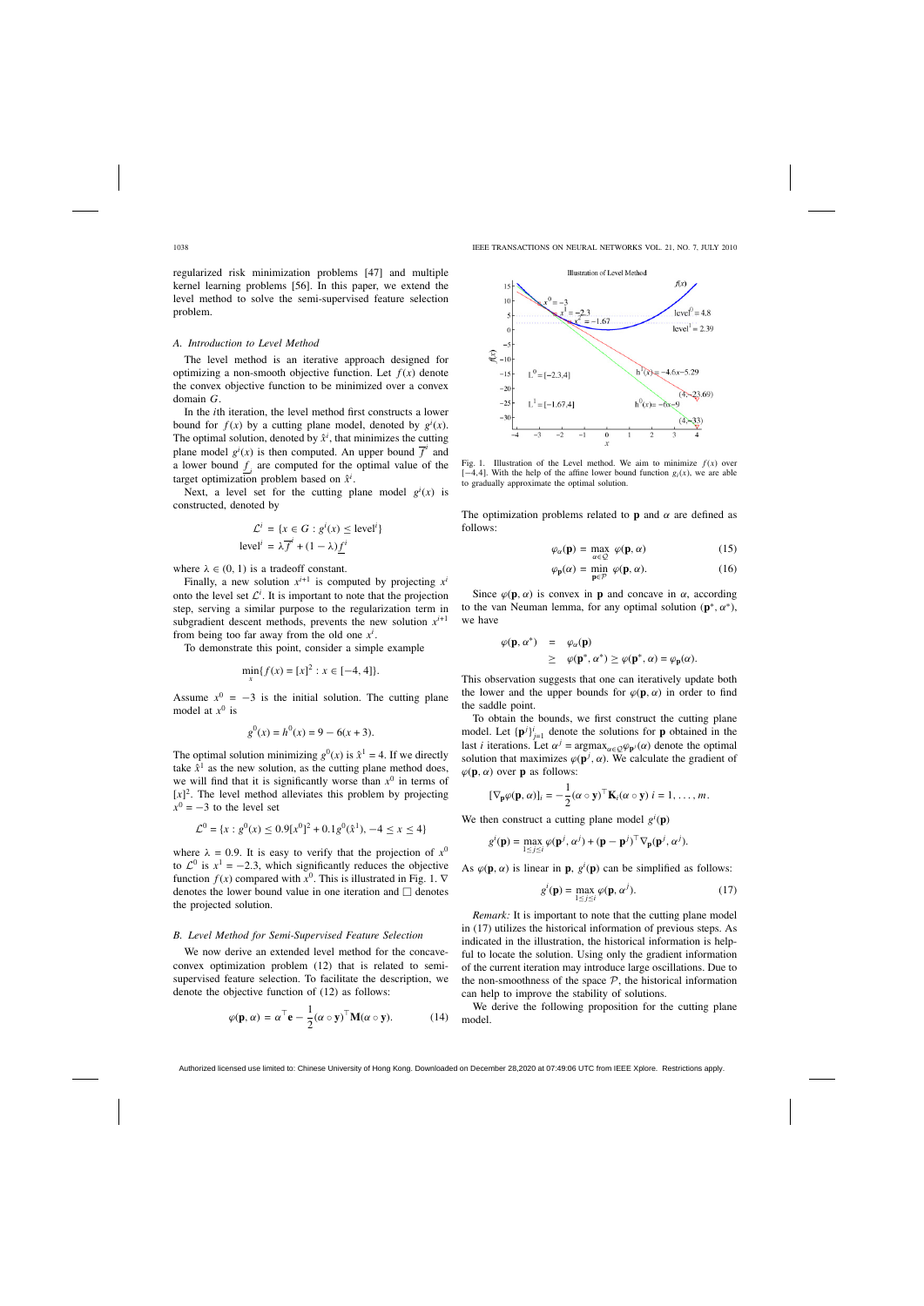regularized risk minimization problems [47] and multiple kernel learning problems [56]. In this paper, we extend the level method to solve the semi-supervised feature selection problem.

# *A. Introduction to Level Method*

The level method is an iterative approach designed for optimizing a non-smooth objective function. Let  $f(x)$  denote the convex objective function to be minimized over a convex domain *G*.

In the *i*th iteration, the level method first constructs a lower bound for  $f(x)$  by a cutting plane model, denoted by  $g^{i}(x)$ . The optimal solution, denoted by  $\hat{x}^i$ , that minimizes the cutting plane model  $g^{i}(x)$  is then computed. An upper bound  $\overline{f}^{i}$  and a lower bound  $f_i$  are computed for the optimal value of the target optimization problem based on  $\hat{x}^i$ .

Next, a level set for the cutting plane model  $g^{i}(x)$  is constructed, denoted by

$$
\mathcal{L}^i = \{x \in G : g^i(x) \le \text{level}^i\}
$$
  
level<sup>i</sup> =  $\lambda \overline{f}^i + (1 - \lambda)f^i$ 

where  $\lambda \in (0, 1)$  is a tradeoff constant.

Finally, a new solution  $x^{i+1}$  is computed by projecting  $x^i$ onto the level set  $\mathcal{L}^i$ . It is important to note that the projection step, serving a similar purpose to the regularization term in subgradient descent methods, prevents the new solution  $x^{i+1}$ from being too far away from the old one *x<sup>i</sup>* .

To demonstrate this point, consider a simple example

$$
\min_{x} \{ f(x) = [x]^2 : x \in [-4, 4] \}.
$$

Assume  $x^0 = -3$  is the initial solution. The cutting plane model at  $x^0$  is

$$
g^0(x) = h^0(x) = 9 - 6(x + 3).
$$

The optimal solution minimizing  $g^0(x)$  is  $\hat{x}^1 = 4$ . If we directly take  $\hat{x}^1$  as the new solution, as the cutting plane method does, we will find that it is significantly worse than  $x^0$  in terms of  $[x]^2$ . The level method alleviates this problem by projecting  $x^0 = -3$  to the level set

$$
\mathcal{L}^0 = \{x : g^0(x) \le 0.9[x^0]^2 + 0.1g^0(\hat{x}^1), -4 \le x \le 4\}
$$

where  $\lambda = 0.9$ . It is easy to verify that the projection of  $x^0$ to  $\mathcal{L}^0$  is  $x^1 = -2.3$ , which significantly reduces the objective function  $f(x)$  compared with  $x^0$ . This is illustrated in Fig. 1.  $\nabla$ denotes the lower bound value in one iteration and  $\Box$  denotes the projected solution.

#### *B. Level Method for Semi-Supervised Feature Selection*

We now derive an extended level method for the concaveconvex optimization problem (12) that is related to semisupervised feature selection. To facilitate the description, we denote the objective function of (12) as follows:

$$
\varphi(\mathbf{p}, \alpha) = \alpha^{\top} \mathbf{e} - \frac{1}{2} (\alpha \circ \mathbf{y})^{\top} \mathbf{M} (\alpha \circ \mathbf{y}). \tag{14}
$$



Fig. 1. Illustration of the Level method. We aim to minimize  $f(x)$  over [ $-4,4$ ]. With the help of the affine lower bound function  $g_i(x)$ , we are able to gradually approximate the optimal solution.

The optimization problems related to **p** and  $\alpha$  are defined as follows:

$$
\varphi_{\alpha}(\mathbf{p}) = \max_{\alpha \in \mathcal{Q}} \varphi(\mathbf{p}, \alpha) \tag{15}
$$

$$
\varphi_{\mathbf{p}}(\alpha) = \min_{\mathbf{p} \in \mathcal{P}} \varphi(\mathbf{p}, \alpha). \tag{16}
$$

Since  $\varphi$ (**p***, α*) is convex in **p** and concave in *α*, according to the van Neuman lemma, for any optimal solution  $(\mathbf{p}^*, \alpha^*)$ , we have

$$
\varphi(\mathbf{p}, \alpha^*) = \varphi_{\alpha}(\mathbf{p})
$$
  
\n
$$
\geq \varphi(\mathbf{p}^*, \alpha^*) \geq \varphi(\mathbf{p}^*, \alpha) = \varphi_{\mathbf{p}}(\alpha).
$$

This observation suggests that one can iteratively update both the lower and the upper bounds for  $\varphi(\mathbf{p}, \alpha)$  in order to find the saddle point.

To obtain the bounds, we first construct the cutting plane model. Let  ${\{\bf p}^j\}_{j=1}^i$  denote the solutions for **p** obtained in the last *i* iterations. Let  $\alpha^{j} = \argmax_{\alpha \in \mathcal{Q}} \varphi_{\mathbf{p}^{j}}(\alpha)$  denote the optimal solution that maximizes  $\varphi(\mathbf{p}^j, \alpha)$ . We calculate the gradient of  $\varphi(\mathbf{p}, \alpha)$  over **p** as follows:

$$
[\nabla_{\mathbf{p}} \varphi(\mathbf{p}, \alpha)]_i = -\frac{1}{2} (\alpha \circ \mathbf{y})^\top \mathbf{K}_i (\alpha \circ \mathbf{y}) \ i = 1, \dots, m.
$$

We then construct a cutting plane model  $g^{i}(\mathbf{p})$ 

$$
g^{i}(\mathbf{p}) = \max_{1 \leq j \leq i} \varphi(\mathbf{p}^{j}, \alpha^{j}) + (\mathbf{p} - \mathbf{p}^{j})^{\top} \nabla_{\mathbf{p}}(\mathbf{p}^{j}, \alpha^{j}).
$$

As  $\varphi(\mathbf{p}, \alpha)$  is linear in **p**,  $g^{i}(\mathbf{p})$  can be simplified as follows:

$$
g^{i}(\mathbf{p}) = \max_{1 \le j \le i} \varphi(\mathbf{p}, \alpha^{j}).
$$
 (17)

*Remark:* It is important to note that the cutting plane model in (17) utilizes the historical information of previous steps. As indicated in the illustration, the historical information is helpful to locate the solution. Using only the gradient information of the current iteration may introduce large oscillations. Due to the non-smoothness of the space  $P$ , the historical information can help to improve the stability of solutions.

We derive the following proposition for the cutting plane model.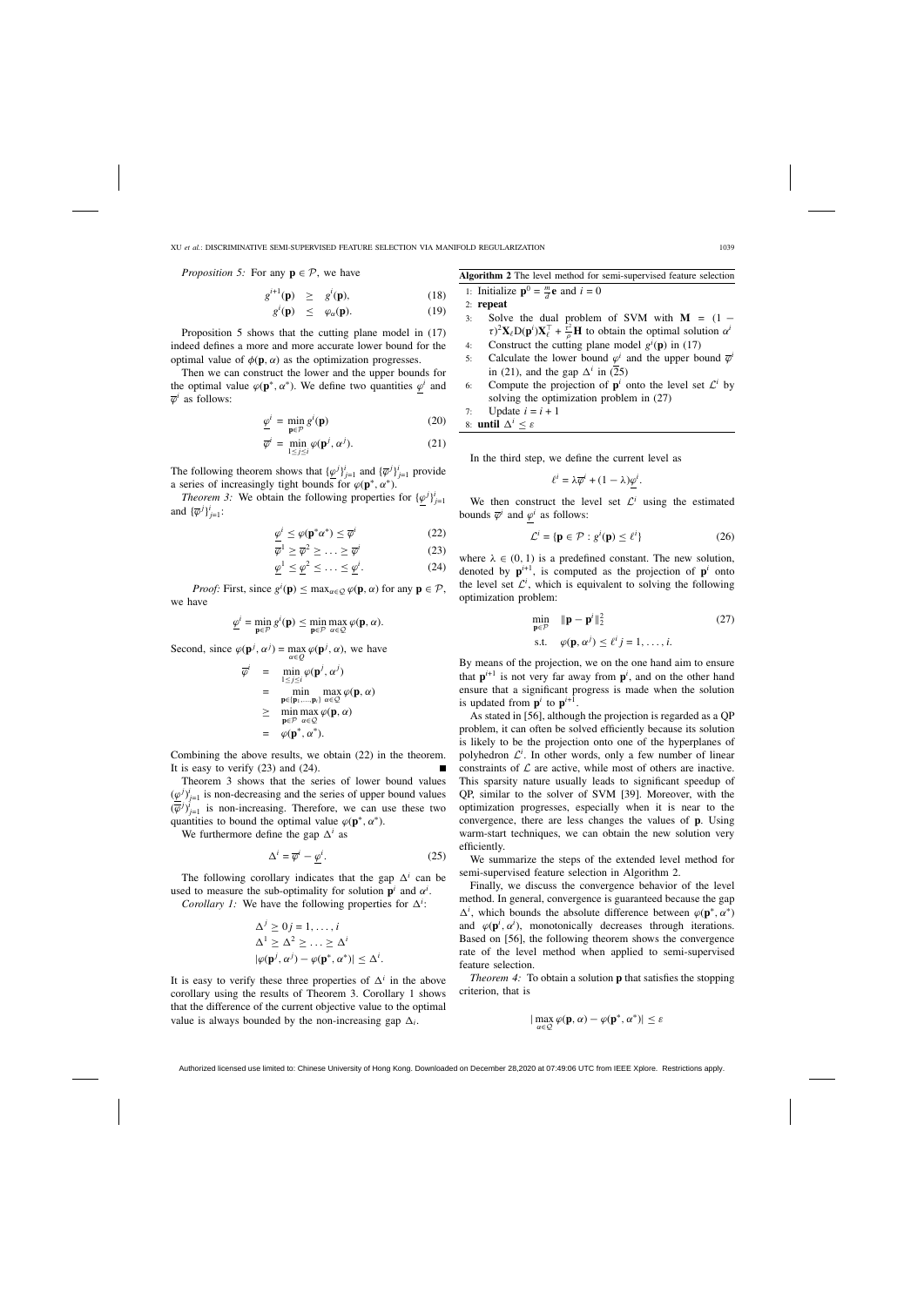*Proposition 5:* For any  $p \in \mathcal{P}$ , we have

$$
g^{i+1}(\mathbf{p}) \geq g^i(\mathbf{p}), \tag{18}
$$

$$
g^{i}(\mathbf{p}) \leq \varphi_{\alpha}(\mathbf{p}). \tag{19}
$$

Proposition 5 shows that the cutting plane model in (17) indeed defines a more and more accurate lower bound for the optimal value of *φ*(**p***, α*) as the optimization progresses.

Then we can construct the lower and the upper bounds for the optimal value  $\varphi(\mathbf{p}^*, \alpha^*)$ . We define two quantities  $\varphi^i$  and  $\overline{\varphi}^i$  as follows:

$$
\underline{\varphi}^i = \min_{\mathbf{p} \in \mathcal{P}} g^i(\mathbf{p})
$$
 (20)

$$
\overline{\varphi}^i = \min_{1 \le j \le i} \varphi(\mathbf{p}^j, \alpha^j). \tag{21}
$$

The following theorem shows that  $\{\varphi^j\}_{j=1}^i$  and  $\{\overline{\varphi}^j\}_{j=1}^i$  provide a series of increasingly tight bounds for  $\varphi(\mathbf{p}^*, \alpha^*)$ .

*Theorem 3:* We obtain the following properties for  ${\phi^{j}}_{j=1}^{i}$ and  ${\overline{\varphi}}^j \}_{j=1}^i$ :

$$
\underline{\varphi}^i \le \varphi(\mathbf{p}^* \alpha^*) \le \overline{\varphi}^i \tag{22}
$$

$$
\overline{\varphi}^1 \ge \overline{\varphi}^2 \ge \ldots \ge \overline{\varphi}^i \tag{23}
$$

$$
\underline{\varphi}^1 \le \underline{\varphi}^2 \le \dots \le \underline{\varphi}^i. \tag{24}
$$

*Proof:* First, since  $g^{i}(\mathbf{p}) \leq \max_{\alpha \in \mathcal{Q}} \varphi(\mathbf{p}, \alpha)$  for any  $\mathbf{p} \in \mathcal{P}$ , we have

$$
\underline{\varphi}^i = \min_{\mathbf{p} \in \mathcal{P}} g^i(\mathbf{p}) \le \min_{\mathbf{p} \in \mathcal{P}} \max_{\alpha \in \mathcal{Q}} \varphi(\mathbf{p}, \alpha).
$$

Second, since  $\varphi(\mathbf{p}^j, \alpha^j) = \max_{\alpha \in \mathcal{Q}} \varphi(\mathbf{p}^j, \alpha)$ , we have

$$
\overline{\varphi}^i = \min_{1 \le j \le i} \varphi(\mathbf{p}^j, \alpha^j)
$$
  
= 
$$
\min_{\mathbf{p} \in [\mathbf{p}_1, \dots, \mathbf{p}_i]} \max_{\alpha \in \mathcal{Q}} \varphi(\mathbf{p}, \alpha)
$$
  

$$
\ge \min_{\mathbf{p} \in \mathcal{P}} \max_{\alpha \in \mathcal{Q}} \varphi(\mathbf{p}, \alpha)
$$
  
= 
$$
\varphi(\mathbf{p}^*, \alpha^*).
$$

Combining the above results, we obtain (22) in the theorem. It is easy to verify (23) and (24).

Theorem 3 shows that the series of lower bound values  $(\underline{\varphi}^j)_{j=1}^i$  is non-decreasing and the series of upper bound values  $(\overline{\overline{\varphi}}^j)_{j=1}^i$  is non-increasing. Therefore, we can use these two quantities to bound the optimal value  $\varphi(\mathbf{p}^*, \alpha^*)$ .

We furthermore define the gap  $\Delta^i$  as

$$
\Delta^i = \overline{\varphi}^i - \underline{\varphi}^i. \tag{25}
$$

*.*

The following corollary indicates that the gap  $\Delta^{i}$  can be used to measure the sub-optimality for solution  $p^i$  and  $\alpha^i$ .

*Corollary 1:* We have the following properties for  $\Delta^i$ :

$$
\Delta^{j} \ge 0j = 1, ..., i
$$
  
\n
$$
\Delta^{1} \ge \Delta^{2} \ge ... \ge \Delta^{i}
$$
  
\n
$$
|\varphi(\mathbf{p}^{j}, \alpha^{j}) - \varphi(\mathbf{p}^{*}, \alpha^{*})| \le \Delta^{i}
$$

It is easy to verify these three properties of  $\Delta^{i}$  in the above corollary using the results of Theorem 3. Corollary 1 shows that the difference of the current objective value to the optimal value is always bounded by the non-increasing gap  $\Delta_i$ .

**Algorithm 2** The level method for semi-supervised feature selection

1: Initialize 
$$
\mathbf{p}^0 = \frac{m}{d} \mathbf{e}
$$
 and  $i = 0$ 

2: **repeat**

- 3: Solve the dual problem of SVM with **M** = (1 −  $\tau$ <sup>2</sup> $\mathbf{X}_{\ell}$ D(**p**<sup>*i*</sup>) $\mathbf{X}_{\ell}^{\top}$  +  $\frac{\tau^2}{\rho}$ **H** to obtain the optimal solution  $\alpha^{i}$
- 4: Construct the cutting plane model  $g^{i}(\mathbf{p})$  in (17)
- 5: Calculate the lower bound  $\varphi^i$  and the upper bound  $\overline{\varphi}^i$ in (21), and the gap  $\Delta^i$  in (25)
- 6: Compute the projection of  $\mathbf{p}^i$  onto the level set  $\mathcal{L}^i$  by solving the optimization problem in (27)
- 7: Update  $i = i + 1$
- 8: **until**  $\Delta^i \leq \varepsilon$

In the third step, we define the current level as

$$
\ell^i = \lambda \overline{\varphi}^i + (1 - \lambda) \varphi^i.
$$

We then construct the level set  $\mathcal{L}^i$  using the estimated bounds  $\overline{\varphi}^i$  and  $\varphi^i$  as follows:

$$
\mathcal{L}^i = \{ \mathbf{p} \in \mathcal{P} : g^i(\mathbf{p}) \le \ell^i \}
$$
 (26)

where  $\lambda \in (0, 1)$  is a predefined constant. The new solution, denoted by  $p^{i+1}$ , is computed as the projection of  $p^i$  onto the level set  $\mathcal{L}^i$ , which is equivalent to solving the following optimization problem:

$$
\min_{\mathbf{p} \in \mathcal{P}} \quad \|\mathbf{p} - \mathbf{p}^i\|_2^2 \tag{27}
$$
\n
$$
\text{s.t.} \quad \varphi(\mathbf{p}, \alpha^j) \le \ell^i \, j = 1, \dots, i.
$$

By means of the projection, we on the one hand aim to ensure that  $p^{i+1}$  is not very far away from  $p^i$ , and on the other hand ensure that a significant progress is made when the solution is updated from  $p^i$  to  $p^{i+1}$ .

As stated in [56], although the projection is regarded as a QP problem, it can often be solved efficiently because its solution is likely to be the projection onto one of the hyperplanes of polyhedron  $\mathcal{L}^i$ . In other words, only a few number of linear constraints of  $\mathcal L$  are active, while most of others are inactive. This sparsity nature usually leads to significant speedup of QP, similar to the solver of SVM [39]. Moreover, with the optimization progresses, especially when it is near to the convergence, there are less changes the values of **p**. Using warm-start techniques, we can obtain the new solution very efficiently.

We summarize the steps of the extended level method for semi-supervised feature selection in Algorithm 2.

Finally, we discuss the convergence behavior of the level method. In general, convergence is guaranteed because the gap  $\Delta^i$ , which bounds the absolute difference between  $\varphi(\mathbf{p}^*, \alpha^*)$ and  $\varphi(\mathbf{p}^i, \alpha^i)$ , monotonically decreases through iterations. Based on [56], the following theorem shows the convergence rate of the level method when applied to semi-supervised feature selection.

*Theorem 4:* To obtain a solution **p** that satisfies the stopping criterion, that is

$$
|\max_{\alpha\in\mathcal{Q}}\varphi(\mathbf{p},\alpha)-\varphi(\mathbf{p}^*,\alpha^*)|\leq \varepsilon
$$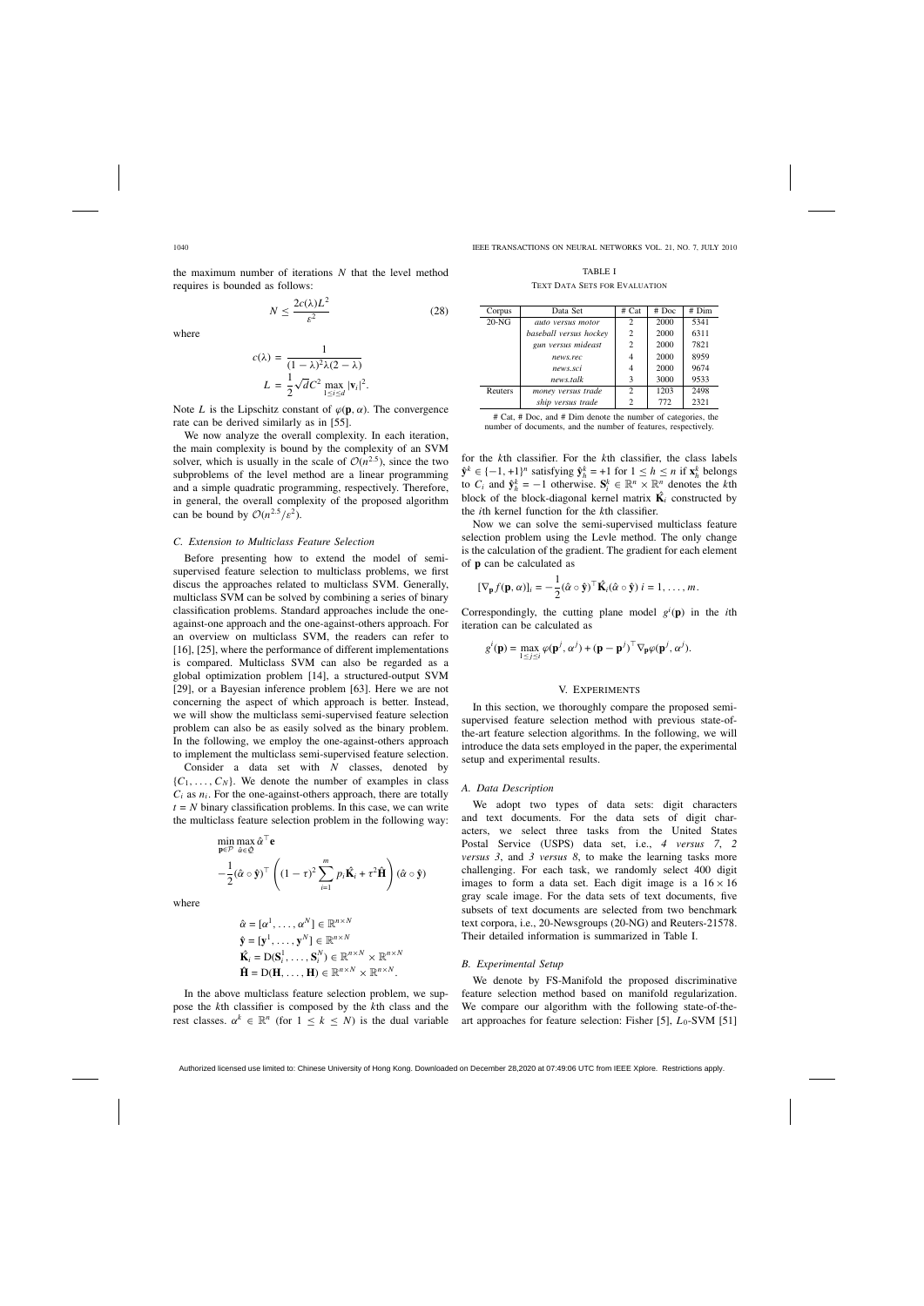the maximum number of iterations *N* that the level method requires is bounded as follows:

$$
N \le \frac{2c(\lambda)L^2}{\varepsilon^2} \tag{28}
$$

where

$$
c(\lambda) = \frac{1}{(1 - \lambda)^2 \lambda (2 - \lambda)}
$$

$$
L = \frac{1}{2} \sqrt{d} C^2 \max_{1 \le i \le d} |\mathbf{v}_i|^2.
$$

Note *L* is the Lipschitz constant of  $\varphi(\mathbf{p}, \alpha)$ . The convergence rate can be derived similarly as in [55].

We now analyze the overall complexity. In each iteration, the main complexity is bound by the complexity of an SVM solver, which is usually in the scale of  $O(n^{2.5})$ , since the two subproblems of the level method are a linear programming and a simple quadratic programming, respectively. Therefore, in general, the overall complexity of the proposed algorithm can be bound by  $O(n^{2.5}/\varepsilon^2)$ .

## *C. Extension to Multiclass Feature Selection*

Before presenting how to extend the model of semisupervised feature selection to multiclass problems, we first discus the approaches related to multiclass SVM. Generally, multiclass SVM can be solved by combining a series of binary classification problems. Standard approaches include the oneagainst-one approach and the one-against-others approach. For an overview on multiclass SVM, the readers can refer to [16], [25], where the performance of different implementations is compared. Multiclass SVM can also be regarded as a global optimization problem [14], a structured-output SVM [29], or a Bayesian inference problem [63]. Here we are not concerning the aspect of which approach is better. Instead, we will show the multiclass semi-supervised feature selection problem can also be as easily solved as the binary problem. In the following, we employ the one-against-others approach to implement the multiclass semi-supervised feature selection.

Consider a data set with *N* classes, denoted by  $\{C_1, \ldots, C_N\}$ . We denote the number of examples in class  $C_i$  as  $n_i$ . For the one-against-others approach, there are totally  $t = N$  binary classification problems. In this case, we can write the multiclass feature selection problem in the following way:

$$
\min_{\mathbf{p}\in\mathcal{P}} \max_{\hat{\alpha}\in\mathcal{Q}} \hat{\alpha}^{\top}\mathbf{e}
$$
\n
$$
-\frac{1}{2}(\hat{\alpha}\circ\hat{\mathbf{y}})^{\top}\left((1-\tau)^2\sum_{i=1}^m p_i\hat{\mathbf{K}}_i+\tau^2\hat{\mathbf{H}}\right)(\hat{\alpha}\circ\hat{\mathbf{y}})
$$

where

$$
\hat{\alpha} = [\alpha^1, \dots, \alpha^N] \in \mathbb{R}^{n \times N}
$$
  
\n
$$
\hat{\mathbf{y}} = [\mathbf{y}^1, \dots, \mathbf{y}^N] \in \mathbb{R}^{n \times N}
$$
  
\n
$$
\hat{\mathbf{K}}_i = D(\mathbf{S}_i^1, \dots, \mathbf{S}_i^N) \in \mathbb{R}^{n \times N} \times \mathbb{R}^{n \times N}
$$
  
\n
$$
\hat{\mathbf{H}} = D(\mathbf{H}, \dots, \mathbf{H}) \in \mathbb{R}^{n \times N} \times \mathbb{R}^{n \times N}.
$$

In the above multiclass feature selection problem, we suppose the *k*th classifier is composed by the *k*th class and the rest classes.  $\alpha^k \in \mathbb{R}^n$  (for  $1 \leq k \leq N$ ) is the dual variable

TABLE I TEXT DATA SETS FOR EVALUATION

| Corpus  | Data Set               | # Cat          | # Doc | # Dim |
|---------|------------------------|----------------|-------|-------|
| $20-NG$ | auto versus motor      | 2              | 2000  | 5341  |
|         | baseball versus hockey | 2              | 2000  | 6311  |
|         | gun versus mideast     | 2              | 2000  | 7821  |
|         | news.rec               | 4              | 2000  | 8959  |
|         | news.sci               | 4              | 2000  | 9674  |
|         | news.talk              | 3              | 3000  | 9533  |
| Reuters | money versus trade     | 2              | 1203  | 2498  |
|         | ship versus trade      | $\mathfrak{D}$ | 772   | 2321  |

# Cat, # Doc, and # Dim denote the number of categories, the number of documents, and the number of features, respectively.

for the *k*th classifier. For the *k*th classifier, the class labels  $\hat{\mathbf{y}}^k$  ∈ {-1, +1}<sup>*n*</sup> satisfying  $\hat{\mathbf{y}}_h^k$  = +1 for 1 ≤ *h* ≤ *n* if  $\mathbf{x}_h^k$  belongs to  $C_i$  and  $\hat{\mathbf{y}}_h^k = -1$  otherwise.  $\mathbf{S}_i^k \in \mathbb{R}^n \times \mathbb{R}^n$  denotes the *k*th block of the block-diagonal kernel matrix  $\hat{\mathbf{K}}_i$  constructed by the *i*th kernel function for the *k*th classifier.

Now we can solve the semi-supervised multiclass feature selection problem using the Levle method. The only change is the calculation of the gradient. The gradient for each element of **p** can be calculated as

$$
[\nabla_{\mathbf{p}} f(\mathbf{p}, \alpha)]_i = -\frac{1}{2} (\hat{\alpha} \circ \hat{\mathbf{y}})^{\top} \hat{\mathbf{K}}_i (\hat{\alpha} \circ \hat{\mathbf{y}}) i = 1, \dots, m.
$$

Correspondingly, the cutting plane model  $g^{i}(\mathbf{p})$  in the *i*th iteration can be calculated as

$$
g^{i}(\mathbf{p}) = \max_{1 \leq j \leq i} \varphi(\mathbf{p}^{j}, \alpha^{j}) + (\mathbf{p} - \mathbf{p}^{j})^{\top} \nabla_{\mathbf{p}} \varphi(\mathbf{p}^{j}, \alpha^{j}).
$$

# V. Experiments

In this section, we thoroughly compare the proposed semisupervised feature selection method with previous state-ofthe-art feature selection algorithms. In the following, we will introduce the data sets employed in the paper, the experimental setup and experimental results.

#### *A. Data Description*

We adopt two types of data sets: digit characters and text documents. For the data sets of digit characters, we select three tasks from the United States Postal Service (USPS) data set, i.e., *4 versus 7*, *2 versus 3*, and *3 versus 8*, to make the learning tasks more challenging. For each task, we randomly select 400 digit images to form a data set. Each digit image is a  $16 \times 16$ gray scale image. For the data sets of text documents, five subsets of text documents are selected from two benchmark text corpora, i.e., 20-Newsgroups (20-NG) and Reuters-21578. Their detailed information is summarized in Table I.

#### *B. Experimental Setup*

We denote by FS-Manifold the proposed discriminative feature selection method based on manifold regularization. We compare our algorithm with the following state-of-theart approaches for feature selection: Fisher [5], *L*<sub>0</sub>-SVM [51]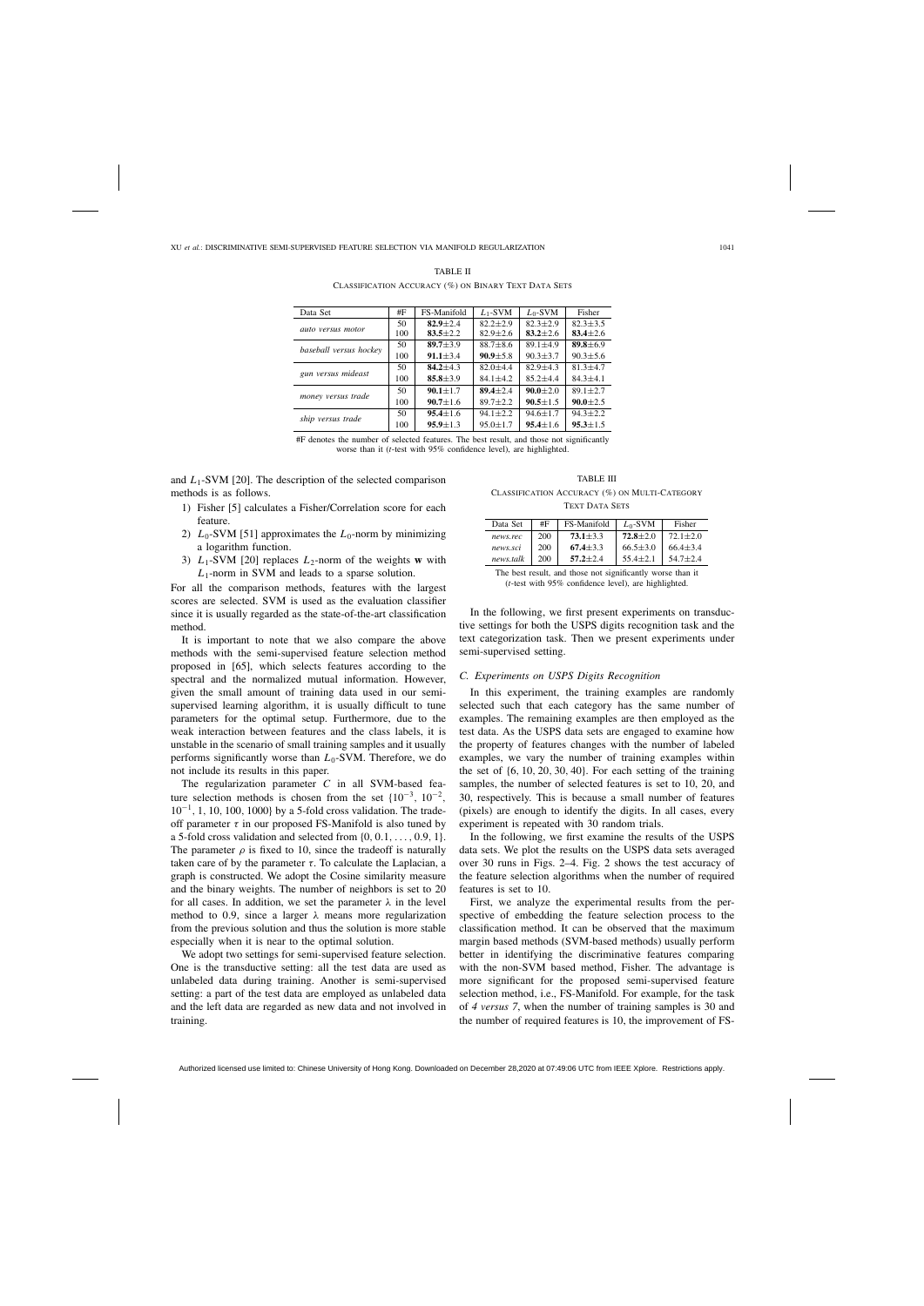#### TABLE II

Classification Accuracy (%) on Binary Text Data Sets

| Data Set                 | #F  | FS-Manifold    | $L_1$ -SVM     | $L_0$ -SVM     | Fisher         |
|--------------------------|-----|----------------|----------------|----------------|----------------|
|                          | 50  | $82.9 + 2.4$   | $82.2 + 2.9$   | $82.3 + 2.9$   | $82.3 + 3.5$   |
| <i>auto versus motor</i> | 100 | $83.5 + 2.2$   | $82.9 \pm 2.6$ | $83.2 + 2.6$   | $83.4 + 2.6$   |
|                          | 50  | $89.7 + 3.9$   | $88.7 + 8.6$   | $89.1 + 4.9$   | $89.8 + 6.9$   |
| baseball versus hockey   | 100 | $91.1 + 3.4$   | $90.9 + 5.8$   | $90.3 \pm 3.7$ | $90.3 \pm 5.6$ |
|                          | 50  | $84.2 + 4.3$   | $82.0 + 4.4$   | $82.9 + 4.3$   | $81.3 + 4.7$   |
| gun versus mideast       | 100 | $85.8 \pm 3.9$ | $84.1 + 4.2$   | $85.2 + 4.4$   | $84.3 + 4.1$   |
|                          | 50  | $90.1 + 1.7$   | $89.4 + 2.4$   | $90.0 + 2.0$   | $89.1 + 2.7$   |
| money versus trade       | 100 | $90.7 + 1.6$   | $89.7 \pm 2.2$ | $90.5 \pm 1.5$ | $90.0 \pm 2.5$ |
|                          | 50  | $95.4 \pm 1.6$ | $94.1 + 2.2$   | $94.6 \pm 1.7$ | $94.3 + 2.2$   |
| ship versus trade        | 100 | $95.9 \pm 1.3$ | $95.0 \pm 1.7$ | $95.4 \pm 1.6$ | $95.3 \pm 1.5$ |

#F denotes the number of selected features. The best result, and those not significantly worse than it (*t*-test with 95% confidence level), are highlighted.

and *L*1-SVM [20]. The description of the selected comparison methods is as follows.

- 1) Fisher [5] calculates a Fisher/Correlation score for each feature.
- 2)  $L_0$ -SVM [51] approximates the  $L_0$ -norm by minimizing a logarithm function.
- 3)  $L_1$ -SVM [20] replaces  $L_2$ -norm of the weights **w** with *L*1-norm in SVM and leads to a sparse solution.

For all the comparison methods, features with the largest scores are selected. SVM is used as the evaluation classifier since it is usually regarded as the state-of-the-art classification method.

It is important to note that we also compare the above methods with the semi-supervised feature selection method proposed in [65], which selects features according to the spectral and the normalized mutual information. However, given the small amount of training data used in our semisupervised learning algorithm, it is usually difficult to tune parameters for the optimal setup. Furthermore, due to the weak interaction between features and the class labels, it is unstable in the scenario of small training samples and it usually performs significantly worse than *L*<sub>0</sub>-SVM. Therefore, we do not include its results in this paper.

The regularization parameter *C* in all SVM-based feature selection methods is chosen from the set  $\{10^{-3}, 10^{-2}, \dots\}$ 10<sup>−</sup><sup>1</sup>*,* 1*,* 10*,* 100*,* 1000} by a 5-fold cross validation. The tradeoff parameter  $\tau$  in our proposed FS-Manifold is also tuned by a 5-fold cross validation and selected from {0*,* 0*.*1*,...,* 0*.*9*,* 1}. The parameter  $\rho$  is fixed to 10, since the tradeoff is naturally taken care of by the parameter *τ*. To calculate the Laplacian, a graph is constructed. We adopt the Cosine similarity measure and the binary weights. The number of neighbors is set to 20 for all cases. In addition, we set the parameter  $\lambda$  in the level method to 0*.*9, since a larger *λ* means more regularization from the previous solution and thus the solution is more stable especially when it is near to the optimal solution.

We adopt two settings for semi-supervised feature selection. One is the transductive setting: all the test data are used as unlabeled data during training. Another is semi-supervised setting: a part of the test data are employed as unlabeled data and the left data are regarded as new data and not involved in training.

TABLE III

Classification Accuracy (%) on Multi-Category TEXT DATA SETS

| Data Set  | #F   | FS-Manifold  | $L_0$ -SVM     | Fisher       |
|-----------|------|--------------|----------------|--------------|
| news.rec  | 200  | $73.1 + 3.3$ | $72.8 + 2.0$   | $72.1 + 2.0$ |
| news.sci  | 200  | $67.4 + 3.3$ | $66.5 \pm 3.0$ | $66.4 + 3.4$ |
| news.talk | 200. | $57.2 + 2.4$ | $554 + 21$     | $54.7 + 2.4$ |

The best result, and those not significantly worse than it (*t*-test with 95% confidence level), are highlighted.

In the following, we first present experiments on transductive settings for both the USPS digits recognition task and the text categorization task. Then we present experiments under semi-supervised setting.

#### *C. Experiments on USPS Digits Recognition*

In this experiment, the training examples are randomly selected such that each category has the same number of examples. The remaining examples are then employed as the test data. As the USPS data sets are engaged to examine how the property of features changes with the number of labeled examples, we vary the number of training examples within the set of {6*,* 10*,* 20*,* 30*,* 40}. For each setting of the training samples, the number of selected features is set to 10, 20, and 30, respectively. This is because a small number of features (pixels) are enough to identify the digits. In all cases, every experiment is repeated with 30 random trials.

In the following, we first examine the results of the USPS data sets. We plot the results on the USPS data sets averaged over 30 runs in Figs. 2–4. Fig. 2 shows the test accuracy of the feature selection algorithms when the number of required features is set to 10.

First, we analyze the experimental results from the perspective of embedding the feature selection process to the classification method. It can be observed that the maximum margin based methods (SVM-based methods) usually perform better in identifying the discriminative features comparing with the non-SVM based method, Fisher. The advantage is more significant for the proposed semi-supervised feature selection method, i.e., FS-Manifold. For example, for the task of *4 versus 7*, when the number of training samples is 30 and the number of required features is 10, the improvement of FS-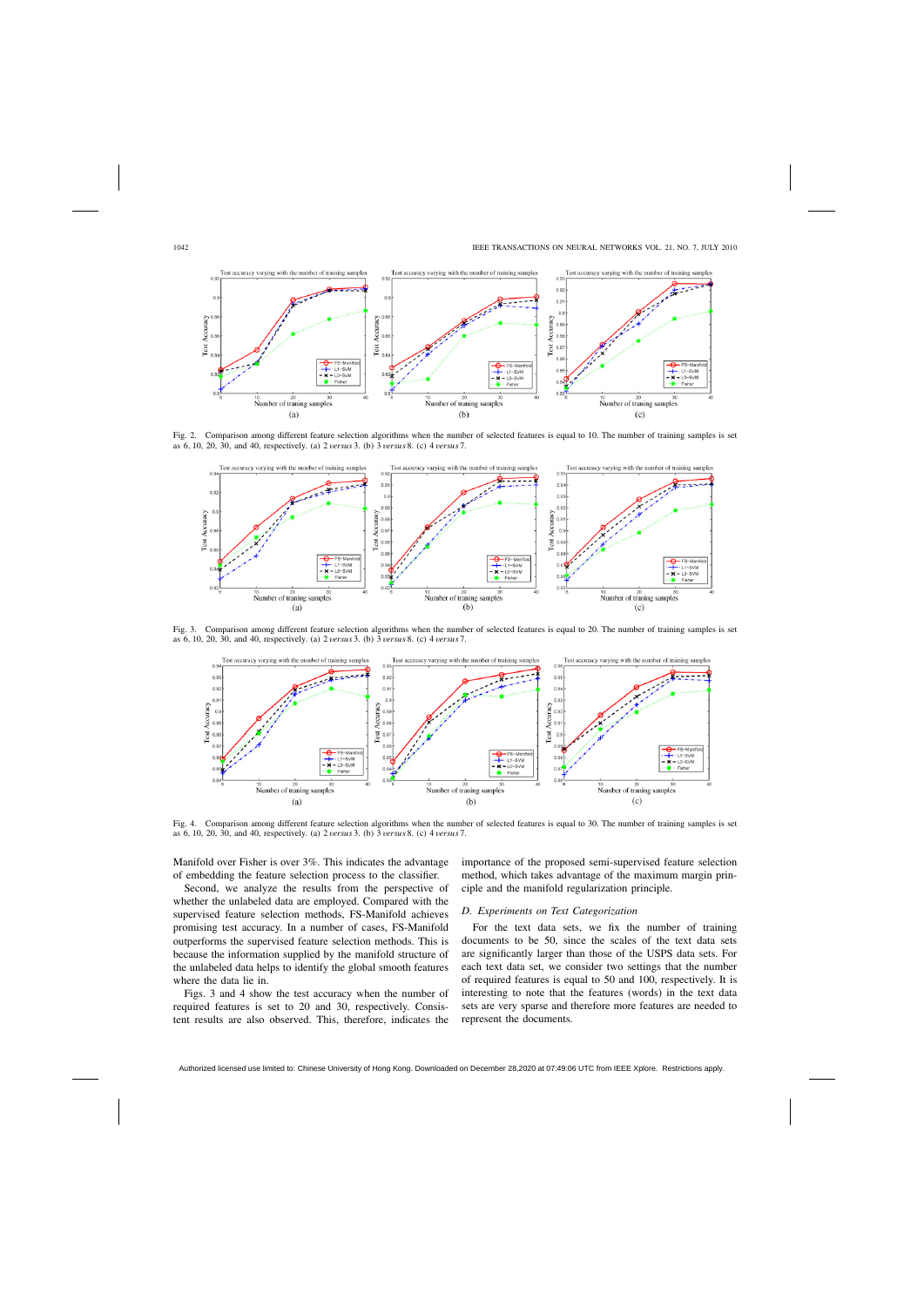

Fig. 2. Comparison among different feature selection algorithms when the number of selected features is equal to 10. The number of training samples is set as 6*,* 10, 20, 30, and 40, respectively. (a) 2 *versus* 3. (b) 3 *versus* 8. (c) 4 *versus* 7.



Fig. 3. Comparison among different feature selection algorithms when the number of selected features is equal to 20. The number of training samples is set as 6*,* 10, 20, 30, and 40, respectively. (a) 2 *versus* 3. (b) 3 *versus* 8. (c) 4 *versus* 7.



Fig. 4. Comparison among different feature selection algorithms when the number of selected features is equal to 30. The number of training samples is set as 6*,* 10, 20, 30, and 40, respectively. (a) 2 *versus* 3. (b) 3 *versus* 8. (c) 4 *versus* 7.

Manifold over Fisher is over 3%. This indicates the advantage of embedding the feature selection process to the classifier.

Second, we analyze the results from the perspective of whether the unlabeled data are employed. Compared with the supervised feature selection methods, FS-Manifold achieves promising test accuracy. In a number of cases, FS-Manifold outperforms the supervised feature selection methods. This is because the information supplied by the manifold structure of the unlabeled data helps to identify the global smooth features where the data lie in.

Figs. 3 and 4 show the test accuracy when the number of required features is set to 20 and 30, respectively. Consistent results are also observed. This, therefore, indicates the

importance of the proposed semi-supervised feature selection method, which takes advantage of the maximum margin principle and the manifold regularization principle.

# *D. Experiments on Text Categorization*

For the text data sets, we fix the number of training documents to be 50, since the scales of the text data sets are significantly larger than those of the USPS data sets. For each text data set, we consider two settings that the number of required features is equal to 50 and 100, respectively. It is interesting to note that the features (words) in the text data sets are very sparse and therefore more features are needed to represent the documents.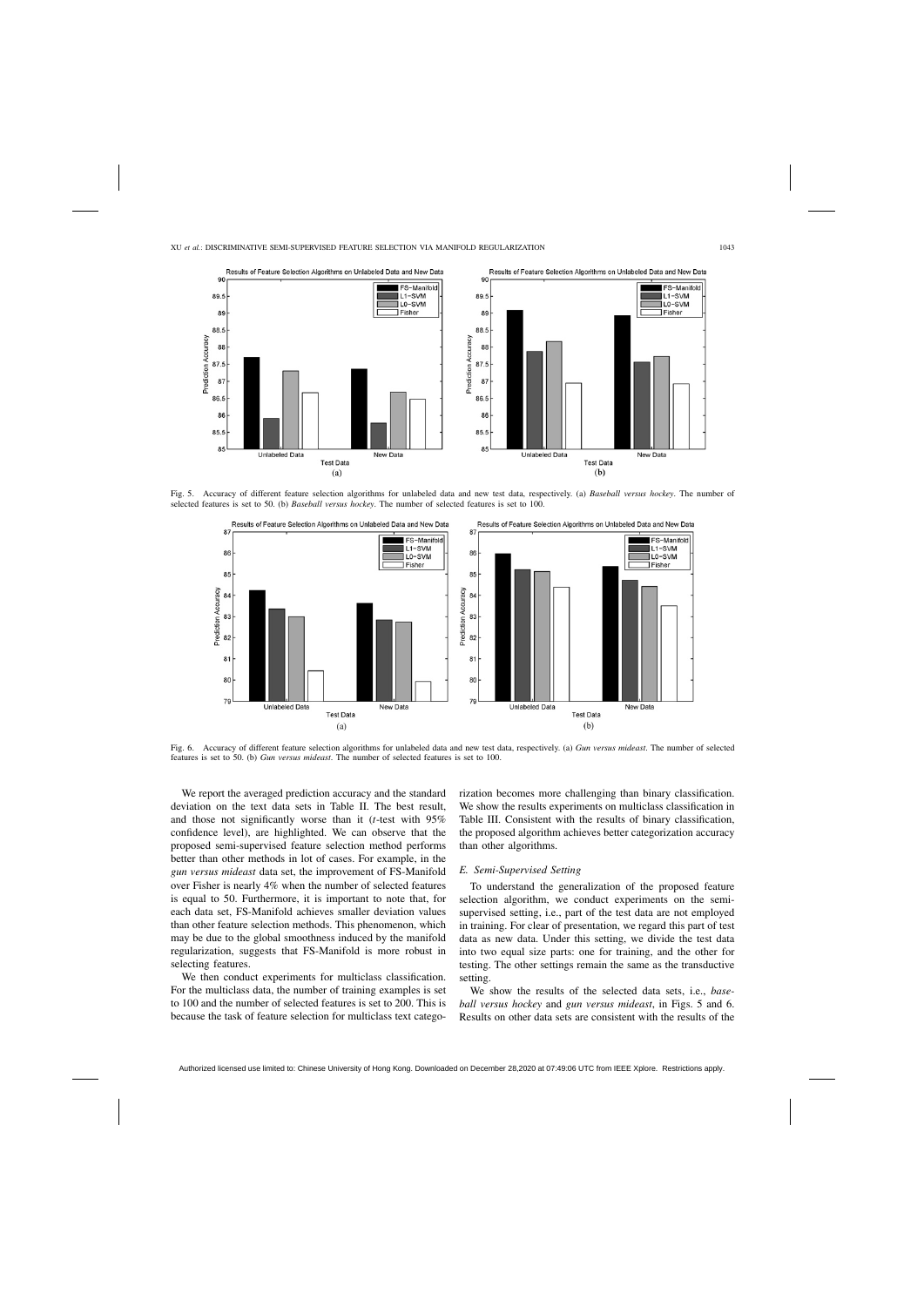

Fig. 5. Accuracy of different feature selection algorithms for unlabeled data and new test data, respectively. (a) *Baseball versus hockey*. The number of selected features is set to 50. (b) *Baseball versus hockey*. The number of selected features is set to 100.



Fig. 6. Accuracy of different feature selection algorithms for unlabeled data and new test data, respectively. (a) *Gun versus mideast*. The number of selected features is set to 50. (b) *Gun versus mideast*. The number of selected features is set to 100.

We report the averaged prediction accuracy and the standard deviation on the text data sets in Table II. The best result, and those not significantly worse than it (*t*-test with 95% confidence level), are highlighted. We can observe that the proposed semi-supervised feature selection method performs better than other methods in lot of cases. For example, in the *gun versus mideast* data set, the improvement of FS-Manifold over Fisher is nearly 4% when the number of selected features is equal to 50. Furthermore, it is important to note that, for each data set, FS-Manifold achieves smaller deviation values than other feature selection methods. This phenomenon, which may be due to the global smoothness induced by the manifold regularization, suggests that FS-Manifold is more robust in selecting features.

We then conduct experiments for multiclass classification. For the multiclass data, the number of training examples is set to 100 and the number of selected features is set to 200. This is because the task of feature selection for multiclass text categorization becomes more challenging than binary classification. We show the results experiments on multiclass classification in Table III. Consistent with the results of binary classification, the proposed algorithm achieves better categorization accuracy than other algorithms.

#### *E. Semi-Supervised Setting*

To understand the generalization of the proposed feature selection algorithm, we conduct experiments on the semisupervised setting, i.e., part of the test data are not employed in training. For clear of presentation, we regard this part of test data as new data. Under this setting, we divide the test data into two equal size parts: one for training, and the other for testing. The other settings remain the same as the transductive setting.

We show the results of the selected data sets, i.e., *baseball versus hockey* and *gun versus mideast*, in Figs. 5 and 6. Results on other data sets are consistent with the results of the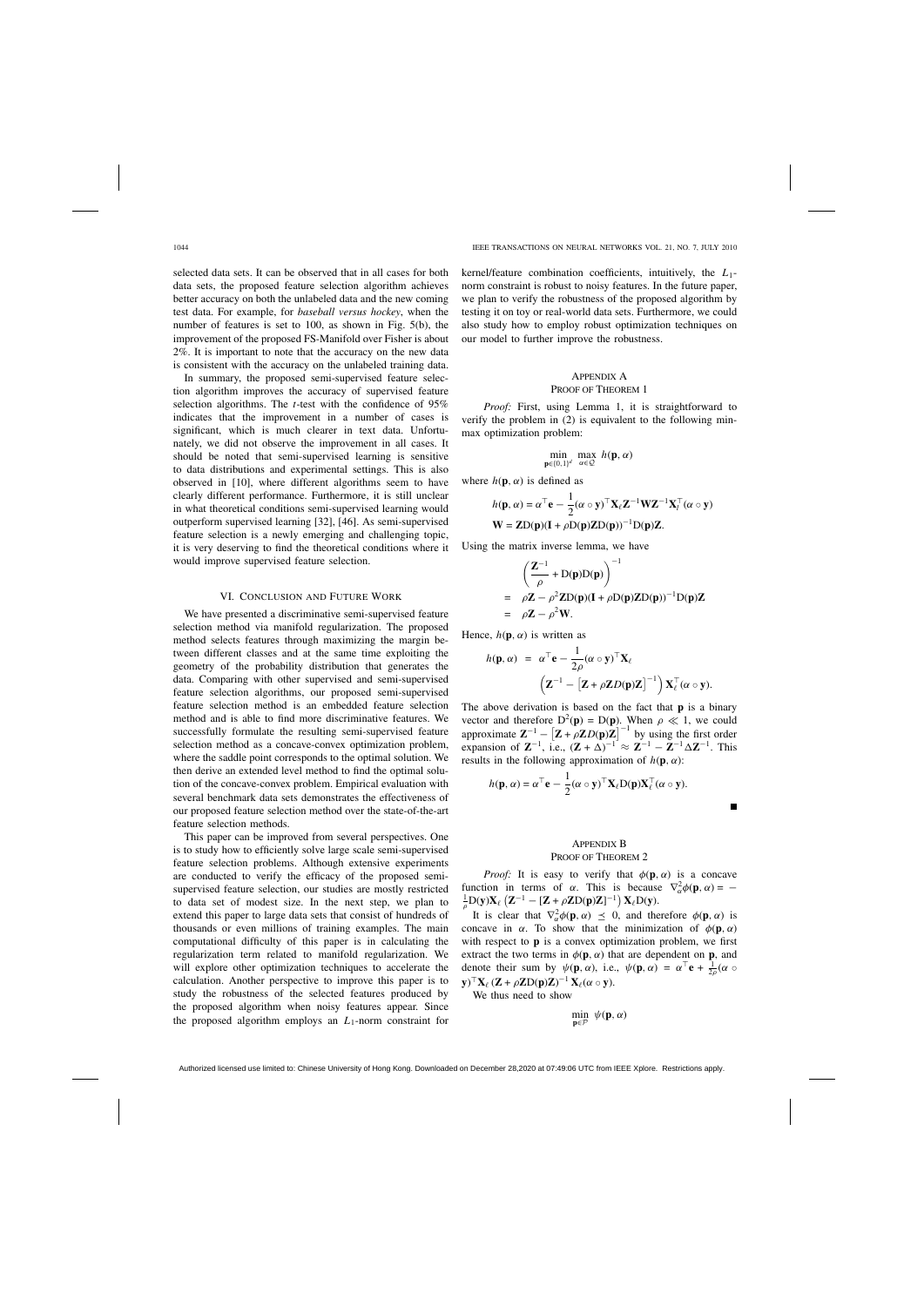selected data sets. It can be observed that in all cases for both data sets, the proposed feature selection algorithm achieves better accuracy on both the unlabeled data and the new coming test data. For example, for *baseball versus hockey*, when the number of features is set to 100, as shown in Fig. 5(b), the improvement of the proposed FS-Manifold over Fisher is about 2%. It is important to note that the accuracy on the new data is consistent with the accuracy on the unlabeled training data.

In summary, the proposed semi-supervised feature selection algorithm improves the accuracy of supervised feature selection algorithms. The *t*-test with the confidence of 95% indicates that the improvement in a number of cases is significant, which is much clearer in text data. Unfortunately, we did not observe the improvement in all cases. It should be noted that semi-supervised learning is sensitive to data distributions and experimental settings. This is also observed in [10], where different algorithms seem to have clearly different performance. Furthermore, it is still unclear in what theoretical conditions semi-supervised learning would outperform supervised learning [32], [46]. As semi-supervised feature selection is a newly emerging and challenging topic, it is very deserving to find the theoretical conditions where it would improve supervised feature selection.

# VI. Conclusion and Future Work

We have presented a discriminative semi-supervised feature selection method via manifold regularization. The proposed method selects features through maximizing the margin between different classes and at the same time exploiting the geometry of the probability distribution that generates the data. Comparing with other supervised and semi-supervised feature selection algorithms, our proposed semi-supervised feature selection method is an embedded feature selection method and is able to find more discriminative features. We successfully formulate the resulting semi-supervised feature selection method as a concave-convex optimization problem, where the saddle point corresponds to the optimal solution. We then derive an extended level method to find the optimal solution of the concave-convex problem. Empirical evaluation with several benchmark data sets demonstrates the effectiveness of our proposed feature selection method over the state-of-the-art feature selection methods.

This paper can be improved from several perspectives. One is to study how to efficiently solve large scale semi-supervised feature selection problems. Although extensive experiments are conducted to verify the efficacy of the proposed semisupervised feature selection, our studies are mostly restricted to data set of modest size. In the next step, we plan to extend this paper to large data sets that consist of hundreds of thousands or even millions of training examples. The main computational difficulty of this paper is in calculating the regularization term related to manifold regularization. We will explore other optimization techniques to accelerate the calculation. Another perspective to improve this paper is to study the robustness of the selected features produced by the proposed algorithm when noisy features appear. Since the proposed algorithm employs an *L*1-norm constraint for kernel/feature combination coefficients, intuitively, the *L*1 norm constraint is robust to noisy features. In the future paper, we plan to verify the robustness of the proposed algorithm by testing it on toy or real-world data sets. Furthermore, we could also study how to employ robust optimization techniques on our model to further improve the robustness.

# APPENDIX A PROOF OF THEOREM 1

*Proof:* First, using Lemma 1, it is straightforward to verify the problem in (2) is equivalent to the following minmax optimization problem:

$$
\min_{\mathbf{p}\in\{0,1\}^d} \ \max_{\alpha\in\mathcal{Q}} \ h(\mathbf{p},\alpha)
$$

where  $h(\mathbf{p}, \alpha)$  is defined as

$$
h(\mathbf{p}, \alpha) = \alpha^{\top} \mathbf{e} - \frac{1}{2} (\alpha \circ \mathbf{y})^{\top} \mathbf{X}_{\ell} \mathbf{Z}^{-1} \mathbf{W} \mathbf{Z}^{-1} \mathbf{X}_{l}^{\top} (\alpha \circ \mathbf{y})
$$

$$
\mathbf{W} = \mathbf{Z} \mathbf{D}(\mathbf{p})(\mathbf{I} + \rho \mathbf{D}(\mathbf{p}) \mathbf{Z} \mathbf{D}(\mathbf{p}))^{-1} \mathbf{D}(\mathbf{p}) \mathbf{Z}.
$$

Using the matrix inverse lemma, we have

$$
\left(\frac{\mathbf{Z}^{-1}}{\rho} + \mathbf{D}(\mathbf{p})\mathbf{D}(\mathbf{p})\right)^{-1}
$$
\n
$$
= \rho \mathbf{Z} - \rho^2 \mathbf{Z} \mathbf{D}(\mathbf{p})(\mathbf{I} + \rho \mathbf{D}(\mathbf{p})\mathbf{Z} \mathbf{D}(\mathbf{p}))^{-1} \mathbf{D}(\mathbf{p})\mathbf{Z}
$$
\n
$$
= \rho \mathbf{Z} - \rho^2 \mathbf{W}.
$$

Hence,  $h(\mathbf{p}, \alpha)$  is written as

$$
h(\mathbf{p}, \alpha) = \alpha^{\top} \mathbf{e} - \frac{1}{2\rho} (\alpha \circ \mathbf{y})^{\top} \mathbf{X}_{\ell}
$$

$$
\left( \mathbf{Z}^{-1} - \left[ \mathbf{Z} + \rho \mathbf{Z} D(\mathbf{p}) \mathbf{Z} \right]^{-1} \right) \mathbf{X}_{\ell}^{\top} (\alpha \circ \mathbf{y}).
$$

The above derivation is based on the fact that **p** is a binary vector and therefore  $D^2(\mathbf{p}) = D(\mathbf{p})$ . When  $\rho \ll 1$ , we could approximate  $\mathbf{Z}^{-1} - [\mathbf{Z} + \rho \mathbf{Z}D(\mathbf{p})\mathbf{Z}]^{-1}$  by using the first order expansion of  $\mathbf{Z}^{-1}$ , i.e.,  $(\mathbf{Z} + \Delta)^{-1} \approx \mathbf{Z}^{-1} - \mathbf{Z}^{-1} \Delta \mathbf{Z}^{-1}$ . This results in the following approximation of  $h(\mathbf{p}, \alpha)$ :

$$
h(\mathbf{p}, \alpha) = \alpha^{\top} \mathbf{e} - \frac{1}{2} (\alpha \circ \mathbf{y})^{\top} \mathbf{X}_{\ell} \mathbf{D}(\mathbf{p}) \mathbf{X}_{\ell}^{\top} (\alpha \circ \mathbf{y}).
$$

# APPENDIX B PROOF OF THEOREM 2

*Proof:* It is easy to verify that  $\phi(\mathbf{p}, \alpha)$  is a concave function in terms of *α*. This is because  $\nabla_{\alpha}^2 \phi(\mathbf{p}, \alpha) = -\frac{1}{2} \mathbf{D}(\mathbf{v}) \mathbf{X} \cdot (\mathbf{Z}^{-1} - [\mathbf{Z} + \alpha \mathbf{Z} \mathbf{D}(\mathbf{p}) \mathbf{Z}]^{-1}) \mathbf{X} \cdot \mathbf{D}(\mathbf{v})$  $\frac{1}{\rho}D(y)X_{\ell} (Z^{-1} - [Z + \rho ZD(p)Z]^{-1}) X_{\ell}D(y).$ 

It is clear that  $\nabla_{\alpha}^{2} \phi(\mathbf{p}, \alpha) \preceq 0$ , and therefore  $\phi(\mathbf{p}, \alpha)$  is concave in  $\alpha$ . To show that the minimization of  $\phi(\mathbf{p}, \alpha)$ with respect to **p** is a convex optimization problem, we first extract the two terms in  $\phi(\mathbf{p}, \alpha)$  that are dependent on **p**, and denote their sum by  $\psi(\mathbf{p}, \alpha)$ , i.e.,  $\psi(\mathbf{p}, \alpha) = \alpha^{\top} \mathbf{e} + \frac{1}{2\rho} (\alpha \circ \alpha)$ **y**)<sup> $\top$ </sup>**X**<sub>l</sub>(**Z** +  $\rho$ **Z**D(**p**)**Z**)<sup> $-1$ </sup>**X**<sub>l</sub>( $\alpha \circ$ **y**).

We thus need to show

$$
\min_{\mathbf{p}\in\mathcal{P}}\ \psi(\mathbf{p},\alpha)
$$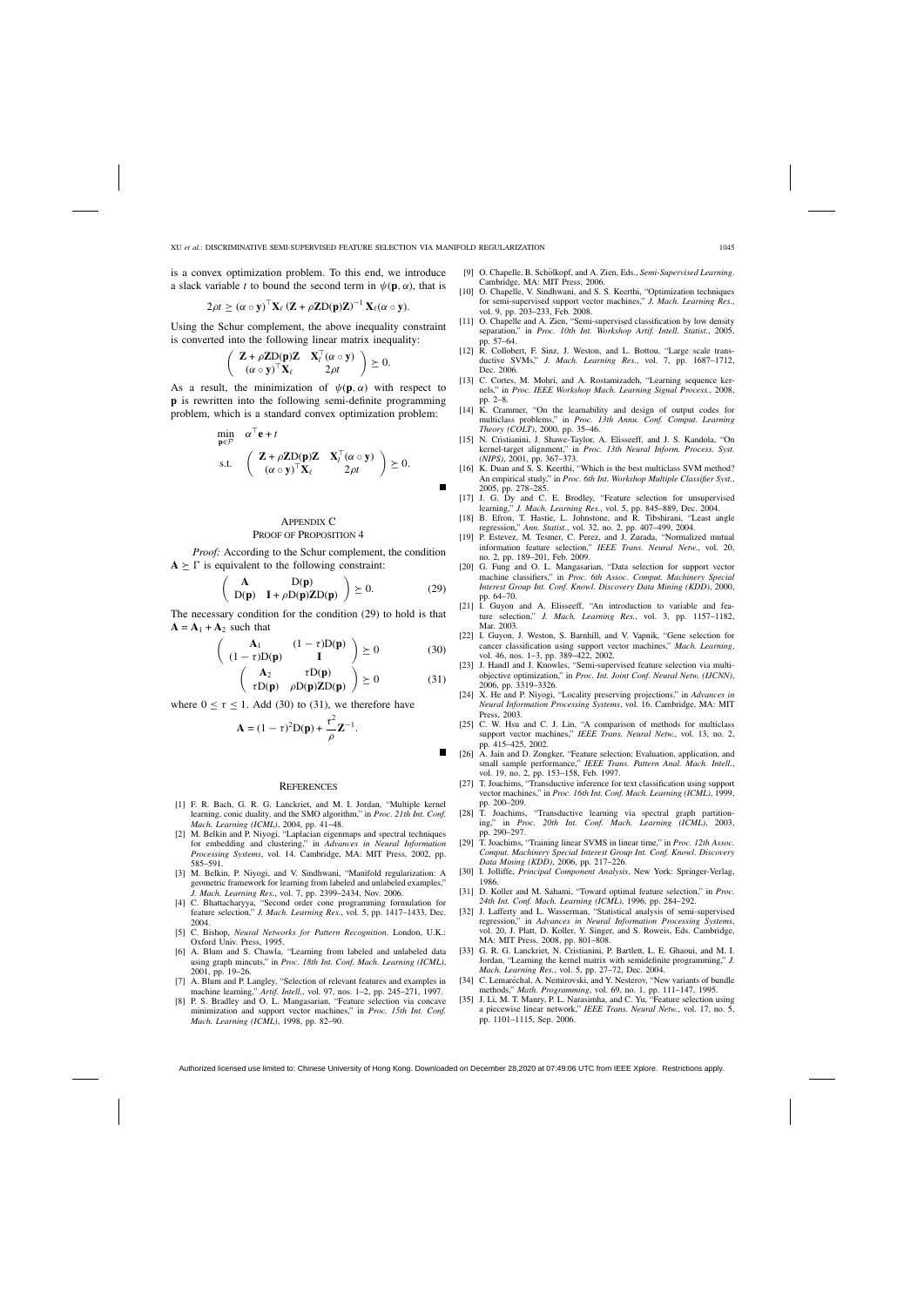is a convex optimization problem. To this end, we introduce a slack variable *t* to bound the second term in  $\psi(\mathbf{p}, \alpha)$ , that is

$$
2\rho t \geq (\alpha \circ \mathbf{y})^{\top} \mathbf{X}_{\ell} (\mathbf{Z} + \rho \mathbf{Z} \mathbf{D}(\mathbf{p}) \mathbf{Z})^{-1} \mathbf{X}_{\ell} (\alpha \circ \mathbf{y}).
$$

Using the Schur complement, the above inequality constraint is converted into the following linear matrix inequality:

$$
\left(\begin{array}{cc} \mathbf{Z}+\rho\mathbf{Z}\mathbf{D}(\mathbf{p})\mathbf{Z} & \mathbf{X}_l^\top(\alpha\circ\mathbf{y}) \\ (\alpha\circ\mathbf{y})^\top\mathbf{X}_\ell & 2\rho t \end{array}\right)\succeq 0.
$$

As a result, the minimization of  $\psi(\mathbf{p}, \alpha)$  with respect to **p** is rewritten into the following semi-definite programming problem, which is a standard convex optimization problem:

$$
\min_{\mathbf{p}\in\mathcal{P}} \quad \alpha^{\top}\mathbf{e} + t
$$
\ns.t. 
$$
\begin{pmatrix} \mathbf{Z} + \rho \mathbf{Z} \mathbf{D}(\mathbf{p}) \mathbf{Z} & \mathbf{X}_l^{\top}(\alpha \circ \mathbf{y}) \\ (\alpha \circ \mathbf{y})^{\top} \mathbf{X}_{\ell} & 2\rho t \end{pmatrix} \succeq 0.
$$

# APPENDIX C PROOF OF PROPOSITION 4

*Proof:* According to the Schur complement, the condition  $A \succeq \Gamma$  is equivalent to the following constraint:

$$
\begin{pmatrix}\n\mathbf{A} & D(\mathbf{p}) \\
D(\mathbf{p}) & \mathbf{I} + \rho D(\mathbf{p})\mathbf{Z}D(\mathbf{p})\n\end{pmatrix} \succeq 0.
$$
\n(29)

The necessary condition for the condition (29) to hold is that  $A = A_1 + A_2$  such that

$$
\begin{pmatrix}\n\mathbf{A}_1 & (1-\tau)D(\mathbf{p}) \\
(1-\tau)D(\mathbf{p}) & \mathbf{I}\n\end{pmatrix} \succeq 0
$$
\n(30)

$$
\begin{pmatrix}\n\mathbf{A}_2 & \tau \mathbf{D}(\mathbf{p}) \\
\tau \mathbf{D}(\mathbf{p}) & \rho \mathbf{D}(\mathbf{p}) \mathbf{Z} \mathbf{D}(\mathbf{p})\n\end{pmatrix} \succeq 0
$$
\n(31)

where  $0 \le \tau \le 1$ . Add (30) to (31), we therefore have

$$
\mathbf{A} = (1 - \tau)^2 \mathbf{D}(\mathbf{p}) + \frac{\tau^2}{\rho} \mathbf{Z}^{-1}.
$$

#### **REFERENCES**

- [1] F. R. Bach, G. R. G. Lanckriet, and M. I. Jordan, "Multiple kernel learning, conic duality, and the SMO algorithm," in *Proc. 21th Int. Conf. Mach. Learning (ICML)*, 2004, pp. 41–48.
- [2] M. Belkin and P. Niyogi, "Laplacian eigenmaps and spectral techniques for embedding and clustering," in *Advances in Neural Information Processing Systems*, vol. 14. Cambridge, MA: MIT Press, 2002, pp. 585–591.
- [3] M. Belkin, P. Niyogi, and V. Sindhwani, "Manifold regularization: A geometric framework for learning from labeled and unlabeled examples," *J. Mach. Learning Res.*, vol. 7, pp. 2399–2434, Nov. 2006.
- [4] C. Bhattacharyya, "Second order cone programming formulation for feature selection," *J. Mach. Learning Res.*, vol. 5, pp. 1417–1433, Dec. 2004.
- [5] C. Bishop, *Neural Networks for Pattern Recognition*. London, U.K.: Oxford Univ. Press, 1995.
- [6] A. Blum and S. Chawla, "Learning from labeled and unlabeled data using graph mincuts," in *Proc. 18th Int. Conf. Mach. Learning (ICML)*, 2001, pp. 19–26.
- [7] A. Blum and P. Langley, "Selection of relevant features and examples in machine learning," *Artif. Intell.*, vol. 97, nos. 1–2, pp. 245–271, 1997.
- [8] P. S. Bradley and O. L. Mangasarian, "Feature selection via concave minimization and support vector machines," in *Proc. 15th Int. Conf. Mach. Learning (ICML)*, 1998, pp. 82–90.
- [9] O. Chapelle, B. Schölkopf, and A. Zien, Eds., Semi-Supervised Learning. Cambridge, MA: MIT Press, 2006.
- [10] O. Chapelle, V. Sindhwani, and S. S. Keerthi, "Optimization techniques for semi-supervised support vector machines," *J. Mach. Learning Res.*, vol. 9, pp. 203–233, Feb. 2008.
- [11] O. Chapelle and A. Zien, "Semi-supervised classification by low density separation," in *Proc. 10th Int. Workshop Artif. Intell. Statist.*, 2005, pp. 57–64.
- [12] R. Collobert, F. Sinz, J. Weston, and L. Bottou, "Large scale transductive SVMs," *J. Mach. Learning Res.*, vol. 7, pp. 1687–1712, Dec. 2006.
- [13] C. Cortes, M. Mohri, and A. Rostamizadeh, "Learning sequence kernels," in *Proc. IEEE Workshop Mach. Learning Signal Process.*, 2008, pp. 2–8.
- [14] K. Crammer, "On the learnability and design of output codes for multiclass problems," in *Proc. 13th Annu. Conf. Comput. Learning Theory (COLT)*, 2000, pp. 35–46.
- [15] N. Cristianini, J. Shawe-Taylor, A. Elisseeff, and J. S. Kandola, "On kernel-target alignment," in *Proc. 13th Neural Inform. Process. Syst. (NIPS)*, 2001, pp. 367–373.
- [16] K. Duan and S. S. Keerthi, "Which is the best multiclass SVM method? An empirical study," in *Proc. 6th Int. Workshop Multiple Classifier Syst.*, 2005, pp. 278–285.
- [17] J. G. Dy and C. E. Brodley, "Feature selection for unsupervised learning," *J. Mach. Learning Res.*, vol. 5, pp. 845–889, Dec. 2004.
- [18] B. Efron, T. Hastie, L. Johnstone, and R. Tibshirani, "Least angle regression," *Ann. Statist.*, vol. 32, no. 2, pp. 407–499, 2004.
- [19] P. Estevez, M. Tesmer, C. Perez, and J. Zurada, "Normalized mutual information feature selection," *IEEE Trans. Neural Netw.*, vol. 20, no. 2, pp. 189–201, Feb. 2009.
- [20] G. Fung and O. L. Mangasarian, "Data selection for support vector machine classifiers," in *Proc. 6th Assoc. Comput. Machinery Special Interest Group Int. Conf. Knowl. Discovery Data Mining (KDD)*, 2000, pp. 64–70.
- [21] I. Guyon and A. Elisseeff, "An introduction to variable and feature selection," *J. Mach. Learning Res.*, vol. 3, pp. 1157–1182, Mar. 2003.
- [22] I. Guyon, J. Weston, S. Barnhill, and V. Vapnik, "Gene selection for cancer classification using support vector machines," *Mach. Learning*, vol. 46, nos. 1–3, pp. 389–422, 2002.
- [23] J. Handl and J. Knowles, "Semi-supervised feature selection via multiobjective optimization," in *Proc. Int. Joint Conf. Neural Netw. (IJCNN)*, 2006, pp. 3319–3326.
- [24] X. He and P. Niyogi, "Locality preserving projections," in *Advances in Neural Information Processing Systems*, vol. 16. Cambridge, MA: MIT Press, 2003.
- [25] C. W. Hsu and C. J. Lin, "A comparison of methods for multiclass support vector machines," *IEEE Trans. Neural Netw.*, vol. 13, no. 2, pp. 415–425, 2002.
- [26] A. Jain and D. Zongker, "Feature selection: Evaluation, application, and small sample performance," *IEEE Trans. Pattern Anal. Mach. Intell.*, vol. 19, no. 2, pp. 153–158, Feb. 1997.
- [27] T. Joachims, "Transductive inference for text classification using support vector machines," in *Proc. 16th Int. Conf. Mach. Learning (ICML)*, 1999, pp. 200–209.
- [28] T. Joachims, "Transductive learning via spectral graph partitioning," in *Proc. 20th Int. Conf. Mach. Learning (ICML)*, 2003, pp. 290–297.
- [29] T. Joachims, "Training linear SVMS in linear time," in *Proc. 12th Assoc. Comput. Machinery Special Interest Group Int. Conf. Knowl. Discovery Data Mining (KDD)*, 2006, pp. 217–226.
- [30] I. Jolliffe, *Principal Component Analysis*. New York: Springer-Verlag, 1986.
- [31] D. Koller and M. Sahami, "Toward optimal feature selection," in *Proc. 24th Int. Conf. Mach. Learning (ICML)*, 1996, pp. 284–292.
- [32] J. Lafferty and L. Wasserman, "Statistical analysis of semi-supervised regression," in *Advances in Neural Information Processing Systems*, vol. 20, J. Platt, D. Koller, Y. Singer, and S. Roweis, Eds. Cambridge, MA: MIT Press, 2008, pp. 801–808.
- [33] G. R. G. Lanckriet, N. Cristianini, P. Bartlett, L. E. Ghaoui, and M. I. Jordan, "Learning the kernel matrix with semidefinite programming," *J. Mach. Learning Res.*, vol. 5, pp. 27–72, Dec. 2004.
- [34] C. Lemaréchal, A. Nemirovski, and Y. Nesterov, "New variants of bundle methods," *Math. Programming*, vol. 69, no. 1, pp. 111–147, 1995.
- [35] J. Li, M. T. Manry, P. L. Narasimha, and C. Yu, "Feature selection using a piecewise linear network," *IEEE Trans. Neural Netw.*, vol. 17, no. 5, pp. 1101–1115, Sep. 2006.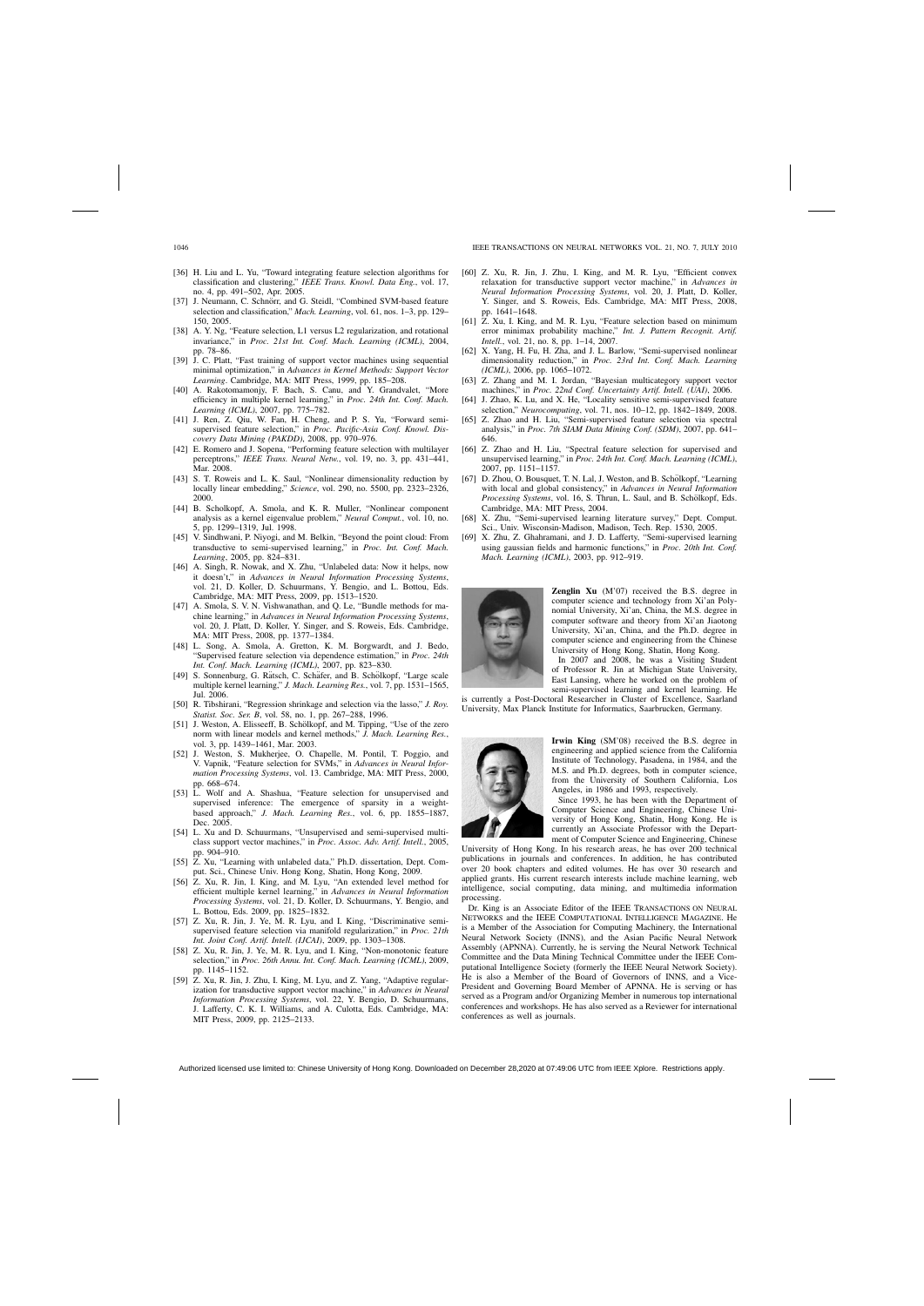- [36] H. Liu and L. Yu, "Toward integrating feature selection algorithms for classification and clustering," *IEEE Trans. Knowl. Data Eng.*, vol. 17, no. 4, pp. 491–502, Apr. 2005.
- [37] J. Neumann, C. Schnörr, and G. Steidl, "Combined SVM-based feature selection and classification," *Mach. Learning*, vol. 61, nos. 1–3, pp. 129– 150, 2005.
- [38] A. Y. Ng, "Feature selection, L1 versus L2 regularization, and rotational invariance," in *Proc. 21st Int. Conf. Mach. Learning (ICML)*, 2004, pp. 78–86.
- [39] J. C. Platt, "Fast training of support vector machines using sequential minimal optimization," in *Advances in Kernel Methods: Support Vector Learning*. Cambridge, MA: MIT Press, 1999, pp. 185–208.
- [40] A. Rakotomamonjy, F. Bach, S. Canu, and Y. Grandvalet, "More efficiency in multiple kernel learning," in *Proc. 24th Int. Conf. Mach. Learning (ICML)*, 2007, pp. 775–782.
- [41] J. Ren, Z. Qiu, W. Fan, H. Cheng, and P. S. Yu, "Forward semisupervised feature selection," in *Proc. Pacific-Asia Conf. Knowl. Discovery Data Mining (PAKDD)*, 2008, pp. 970–976.
- [42] E. Romero and J. Sopena, "Performing feature selection with multilayer perceptrons," *IEEE Trans. Neural Netw.*, vol. 19, no. 3, pp. 431–441, Mar. 2008.
- [43] S. T. Roweis and L. K. Saul, "Nonlinear dimensionality reduction by locally linear embedding," *Science*, vol. 290, no. 5500, pp. 2323–2326, 2000.
- [44] B. Scholkopf, A. Smola, and K. R. Muller, "Nonlinear component analysis as a kernel eigenvalue problem," *Neural Comput.*, vol. 10, no. 5, pp. 1299–1319, Jul. 1998.
- [45] V. Sindhwani, P. Niyogi, and M. Belkin, "Beyond the point cloud: From transductive to semi-supervised learning," in *Proc. Int. Conf. Mach. Learning*, 2005, pp. 824–831.
- [46] A. Singh, R. Nowak, and X. Zhu, "Unlabeled data: Now it helps, now it doesn't," in *Advances in Neural Information Processing Systems*, vol. 21, D. Koller, D. Schuurmans, Y. Bengio, and L. Bottou, Eds. Cambridge, MA: MIT Press, 2009, pp. 1513–1520.
- [47] A. Smola, S. V. N. Vishwanathan, and Q. Le, "Bundle methods for machine learning," in *Advances in Neural Information Processing Systems*, vol. 20, J. Platt, D. Koller, Y. Singer, and S. Roweis, Eds. Cambridge, MA: MIT Press, 2008, pp. 1377–1384.
- [48] L. Song, A. Smola, A. Gretton, K. M. Borgwardt, and J. Bedo, "Supervised feature selection via dependence estimation," in *Proc. 24th Int. Conf. Mach. Learning (ICML)*, 2007, pp. 823–830.
- [49] S. Sonnenburg, G. Rätsch, C. Schäfer, and B. Schölkopf, "Large scale multiple kernel learning," *J. Mach. Learning Res.*, vol. 7, pp. 1531–1565, Jul. 2006.
- [50] R. Tibshirani, "Regression shrinkage and selection via the lasso," *J. Roy. Statist. Soc. Ser. B*, vol. 58, no. 1, pp. 267–288, 1996.
- [51] J. Weston, A. Elisseeff, B. Schölkopf, and M. Tipping, "Use of the zero norm with linear models and kernel methods," *J. Mach. Learning Res.*, vol. 3, pp. 1439–1461, Mar. 2003.
- [52] J. Weston, S. Mukherjee, O. Chapelle, M. Pontil, T. Poggio, and V. Vapnik, "Feature selection for SVMs," in *Advances in Neural Information Processing Systems*, vol. 13. Cambridge, MA: MIT Press, 2000, pp. 668–674.
- [53] L. Wolf and A. Shashua, "Feature selection for unsupervised and supervised inference: The emergence of sparsity in a weightbased approach," *J. Mach. Learning Res.*, vol. 6, pp. 1855–1887, Dec. 2005.
- [54] L. Xu and D. Schuurmans, "Unsupervised and semi-supervised multiclass support vector machines," in *Proc. Assoc. Adv. Artif. Intell.*, 2005, pp. 904–910.
- [55] Z. Xu, "Learning with unlabeled data," Ph.D. dissertation, Dept. Comput. Sci., Chinese Univ. Hong Kong, Shatin, Hong Kong, 2009.
- [56] Z. Xu, R. Jin, I. King, and M. Lyu, "An extended level method for efficient multiple kernel learning," in *Advances in Neural Information Processing Systems*, vol. 21, D. Koller, D. Schuurmans, Y. Bengio, and L. Bottou, Eds. 2009, pp. 1825–1832.
- [57] Z. Xu, R. Jin, J. Ye, M. R. Lyu, and I. King, "Discriminative semisupervised feature selection via manifold regularization," in *Proc. 21th Int. Joint Conf. Artif. Intell. (IJCAI)*, 2009, pp. 1303–1308.
- [58] Z. Xu, R. Jin, J. Ye, M. R. Lyu, and I. King, "Non-monotonic feature selection," in *Proc. 26th Annu. Int. Conf. Mach. Learning (ICML)*, 2009, pp. 1145–1152.
- [59] Z. Xu, R. Jin, J. Zhu, I. King, M. Lyu, and Z. Yang, "Adaptive regularization for transductive support vector machine," in *Advances in Neural Information Processing Systems*, vol. 22, Y. Bengio, D. Schuurmans, J. Lafferty, C. K. I. Williams, and A. Culotta, Eds. Cambridge, MA: MIT Press, 2009, pp. 2125–2133.
- [60] Z. Xu, R. Jin, J. Zhu, I. King, and M. R. Lyu, "Efficient convex relaxation for transductive support vector machine," in *Advances in Neural Information Processing Systems*, vol. 20, J. Platt, D. Koller, Y. Singer, and S. Roweis, Eds. Cambridge, MA: MIT Press, 2008, pp. 1641–1648.
- [61] Z. Xu, I. King, and M. R. Lyu, "Feature selection based on minimum error minimax probability machine," *Int. J. Pattern Recognit. Artif. Intell.*, vol. 21, no. 8, pp. 1–14, 2007.
- [62] X. Yang, H. Fu, H. Zha, and J. L. Barlow, "Semi-supervised nonlinear dimensionality reduction," in *Proc. 23rd Int. Conf. Mach. Learning (ICML)*, 2006, pp. 1065–1072.
- [63] Z. Zhang and M. I. Jordan, "Bayesian multicategory support vector machines," in *Proc. 22nd Conf. Uncertainty Artif. Intell. (UAI)*, 2006.
- [64] J. Zhao, K. Lu, and X. He, "Locality sensitive semi-supervised feature selection," *Neurocomputing*, vol. 71, nos. 10–12, pp. 1842–1849, 2008.
- [65] Z. Zhao and H. Liu, "Semi-supervised feature selection via spectral analysis," in *Proc. 7th SIAM Data Mining Conf. (SDM)*, 2007, pp. 641– 646.
- [66] Z. Zhao and H. Liu, "Spectral feature selection for supervised and unsupervised learning," in *Proc. 24th Int. Conf. Mach. Learning (ICML)*, 2007, pp. 1151–1157.
- [67] D. Zhou, O. Bousquet, T. N. Lal, J. Weston, and B. Schölkopf, "Learning with local and global consistency," in *Advances in Neural Information Processing Systems*, vol. 16, S. Thrun, L. Saul, and B. Schölkopf, Eds. Cambridge, MA: MIT Press, 2004.
- [68] X. Zhu, "Semi-supervised learning literature survey," Dept. Comput. Sci., Univ. Wisconsin-Madison, Madison, Tech. Rep. 1530, 2005.
- [69] X. Zhu, Z. Ghahramani, and J. D. Lafferty, "Semi-supervised learning using gaussian fields and harmonic functions," in *Proc. 20th Int. Conf. Mach. Learning (ICML)*, 2003, pp. 912–919.



**Zenglin Xu** (M'07) received the B.S. degree in computer science and technology from Xi'an Polynomial University, Xi'an, China, the M.S. degree in computer software and theory from Xi'an Jiaotong University, Xi'an, China, and the Ph.D. degree in computer science and engineering from the Chinese University of Hong Kong, Shatin, Hong Kong.

In 2007 and 2008, he was a Visiting Student of Professor R. Jin at Michigan State University, East Lansing, where he worked on the problem of semi-supervised learning and kernel learning. He

is currently a Post-Doctoral Researcher in Cluster of Excellence, Saarland University, Max Planck Institute for Informatics, Saarbrucken, Germany.



**Irwin King** (SM'08) received the B.S. degree in engineering and applied science from the California Institute of Technology, Pasadena, in 1984, and the M.S. and Ph.D. degrees, both in computer science, from the University of Southern California, Los Angeles, in 1986 and 1993, respectively.

Since 1993, he has been with the Department of Computer Science and Engineering, Chinese University of Hong Kong, Shatin, Hong Kong. He is currently an Associate Professor with the Department of Computer Science and Engineering, Chinese

University of Hong Kong. In his research areas, he has over 200 technical publications in journals and conferences. In addition, he has contributed over 20 book chapters and edited volumes. He has over 30 research and applied grants. His current research interests include machine learning, web intelligence, social computing, data mining, and multimedia information processing.

Dr. King is an Associate Editor of the IEEE Transactions on Neural Networks and the IEEE Computational Intelligence Magazine. He is a Member of the Association for Computing Machinery, the International Neural Network Society (INNS), and the Asian Pacific Neural Network Assembly (APNNA). Currently, he is serving the Neural Network Technical Committee and the Data Mining Technical Committee under the IEEE Computational Intelligence Society (formerly the IEEE Neural Network Society). He is also a Member of the Board of Governors of INNS, and a Vice-President and Governing Board Member of APNNA. He is serving or has served as a Program and/or Organizing Member in numerous top international conferences and workshops. He has also served as a Reviewer for international conferences as well as journals.